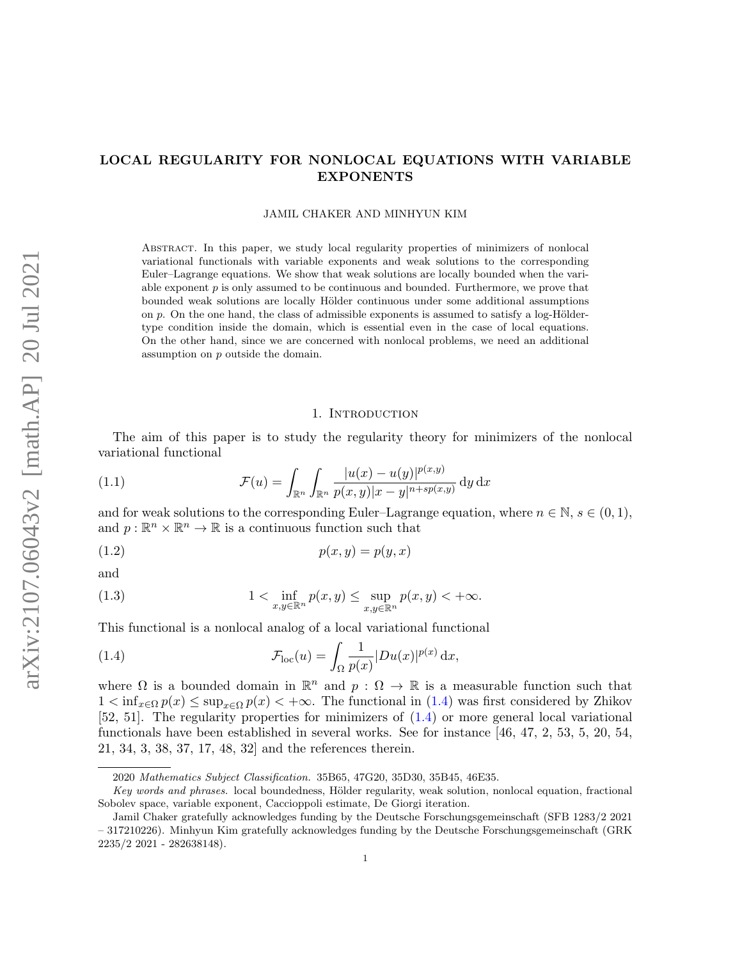# LOCAL REGULARITY FOR NONLOCAL EQUATIONS WITH VARIABLE EXPONENTS

#### JAMIL CHAKER AND MINHYUN KIM

Abstract. In this paper, we study local regularity properties of minimizers of nonlocal variational functionals with variable exponents and weak solutions to the corresponding Euler–Lagrange equations. We show that weak solutions are locally bounded when the variable exponent  $p$  is only assumed to be continuous and bounded. Furthermore, we prove that bounded weak solutions are locally Hölder continuous under some additional assumptions on  $p$ . On the one hand, the class of admissible exponents is assumed to satisfy a log-Höldertype condition inside the domain, which is essential even in the case of local equations. On the other hand, since we are concerned with nonlocal problems, we need an additional assumption on p outside the domain.

### <span id="page-0-3"></span><span id="page-0-1"></span>1. INTRODUCTION

The aim of this paper is to study the regularity theory for minimizers of the nonlocal variational functional

(1.1) 
$$
\mathcal{F}(u) = \int_{\mathbb{R}^n} \int_{\mathbb{R}^n} \frac{|u(x) - u(y)|^{p(x,y)}}{p(x,y)|x - y|^{n + sp(x,y)}} \, dy \, dx
$$

and for weak solutions to the corresponding Euler–Lagrange equation, where  $n \in \mathbb{N}$ ,  $s \in (0,1)$ , and  $p: \mathbb{R}^n \times \mathbb{R}^n \to \mathbb{R}$  is a continuous function such that

$$
(1.2) \t\t\t p(x,y) = p(y,x)
$$

and

<span id="page-0-2"></span>(1.3) 
$$
1 < \inf_{x,y \in \mathbb{R}^n} p(x,y) \leq \sup_{x,y \in \mathbb{R}^n} p(x,y) < +\infty.
$$

This functional is a nonlocal analog of a local variational functional

<span id="page-0-0"></span>(1.4) 
$$
\mathcal{F}_{\text{loc}}(u) = \int_{\Omega} \frac{1}{p(x)} |Du(x)|^{p(x)} dx,
$$

where  $\Omega$  is a bounded domain in  $\mathbb{R}^n$  and  $p : \Omega \to \mathbb{R}$  is a measurable function such that  $1 \lt \inf_{x \in \Omega} p(x) \leq \sup_{x \in \Omega} p(x) \lt +\infty$ . The functional in [\(1.4\)](#page-0-0) was first considered by Zhikov [\[52,](#page-27-0) [51\]](#page-27-1). The regularity properties for minimizers of [\(1.4\)](#page-0-0) or more general local variational functionals have been established in several works. See for instance [\[46,](#page-27-2) [47,](#page-27-3) [2,](#page-25-0) [53,](#page-27-4) [5,](#page-26-0) [20,](#page-26-1) [54,](#page-27-5) [21,](#page-26-2) [34,](#page-27-6) [3,](#page-26-3) [38,](#page-27-7) [37,](#page-27-8) [17,](#page-26-4) [48,](#page-27-9) [32\]](#page-27-10) and the references therein.

<sup>2020</sup> Mathematics Subject Classification. 35B65, 47G20, 35D30, 35B45, 46E35.

Key words and phrases. local boundedness, Hölder regularity, weak solution, nonlocal equation, fractional Sobolev space, variable exponent, Caccioppoli estimate, De Giorgi iteration.

Jamil Chaker gratefully acknowledges funding by the Deutsche Forschungsgemeinschaft (SFB 1283/2 2021 – 317210226). Minhyun Kim gratefully acknowledges funding by the Deutsche Forschungsgemeinschaft (GRK 2235/2 2021 - 282638148).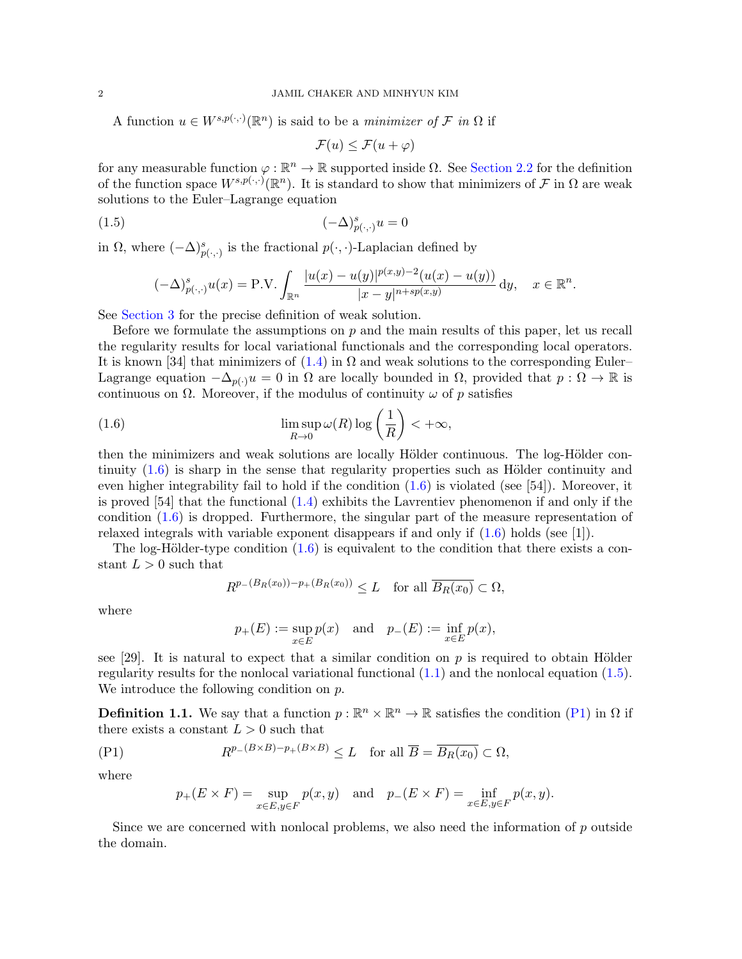A function  $u \in W^{s,p(\cdot,\cdot)}(\mathbb{R}^n)$  is said to be a *minimizer of*  $\mathcal F$  *in*  $\Omega$  if

<span id="page-1-1"></span>
$$
\mathcal{F}(u) \le \mathcal{F}(u + \varphi)
$$

for any measurable function  $\varphi : \mathbb{R}^n \to \mathbb{R}$  supported inside  $\Omega$ . See [Section 2.2](#page-6-0) for the definition of the function space  $W^{s,p(\cdot,\cdot)}(\mathbb{R}^n)$ . It is standard to show that minimizers of F in  $\Omega$  are weak solutions to the Euler–Lagrange equation

$$
(1.5)\qquad \qquad (-\Delta)^s_{p(\cdot,\cdot)}u = 0
$$

in  $\Omega$ , where  $(-\Delta)_{p(\cdot,\cdot)}^s$  is the fractional  $p(\cdot,\cdot)$ -Laplacian defined by

$$
(-\Delta)_{p(\cdot,\cdot)}^s u(x) = \text{P.V.} \int_{\mathbb{R}^n} \frac{|u(x) - u(y)|^{p(x,y)-2}(u(x) - u(y))}{|x - y|^{n+sp(x,y)}} \, \mathrm{d}y, \quad x \in \mathbb{R}^n.
$$

See [Section 3](#page-7-0) for the precise definition of weak solution.

Before we formulate the assumptions on  $p$  and the main results of this paper, let us recall the regularity results for local variational functionals and the corresponding local operators. It is known [\[34\]](#page-27-6) that minimizers of  $(1.4)$  in  $\Omega$  and weak solutions to the corresponding Euler– Lagrange equation  $-\Delta_{p(\cdot)}u = 0$  in  $\Omega$  are locally bounded in  $\Omega$ , provided that  $p : \Omega \to \mathbb{R}$  is continuous on  $\Omega$ . Moreover, if the modulus of continuity  $\omega$  of p satisfies

(1.6) 
$$
\limsup_{R \to 0} \omega(R) \log \left(\frac{1}{R}\right) < +\infty,
$$

then the minimizers and weak solutions are locally Hölder continuous. The log-Hölder continuity  $(1.6)$  is sharp in the sense that regularity properties such as Hölder continuity and even higher integrability fail to hold if the condition  $(1.6)$  is violated (see [\[54\]](#page-27-5)). Moreover, it is proved [\[54\]](#page-27-5) that the functional [\(1.4\)](#page-0-0) exhibits the Lavrentiev phenomenon if and only if the condition [\(1.6\)](#page-1-0) is dropped. Furthermore, the singular part of the measure representation of relaxed integrals with variable exponent disappears if and only if [\(1.6\)](#page-1-0) holds (see [\[1\]](#page-25-1)).

The log-Hölder-type condition  $(1.6)$  is equivalent to the condition that there exists a constant  $L > 0$  such that

<span id="page-1-0"></span>
$$
R^{p_{-}(B_R(x_0))-p_{+}(B_R(x_0))} \leq L \quad \text{for all } \overline{B_R(x_0)} \subset \Omega,
$$

where

$$
p_+(E) := \sup_{x \in E} p(x)
$$
 and  $p_-(E) := \inf_{x \in E} p(x)$ ,

see [\[29\]](#page-27-11). It is natural to expect that a similar condition on  $p$  is required to obtain Hölder regularity results for the nonlocal variational functional  $(1.1)$  and the nonlocal equation  $(1.5)$ . We introduce the following condition on  $p$ .

**Definition 1.1.** We say that a function  $p : \mathbb{R}^n \times \mathbb{R}^n \to \mathbb{R}$  satisfies the condition [\(P1\)](#page-1-2) in  $\Omega$  if there exists a constant  $L > 0$  such that

<span id="page-1-2"></span>
$$
(P1) \t R^{p-(B\times B)-p+(B\times B)} \le L \t \text{ for all } \overline{B} = \overline{B_R(x_0)} \subset \Omega,
$$

where

<span id="page-1-3"></span>
$$
p_+(E\times F)=\sup_{x\in E,y\in F}p(x,y)\quad\text{and}\quad p_-(E\times F)=\inf_{x\in E,y\in F}p(x,y).
$$

Since we are concerned with nonlocal problems, we also need the information of  $p$  outside the domain.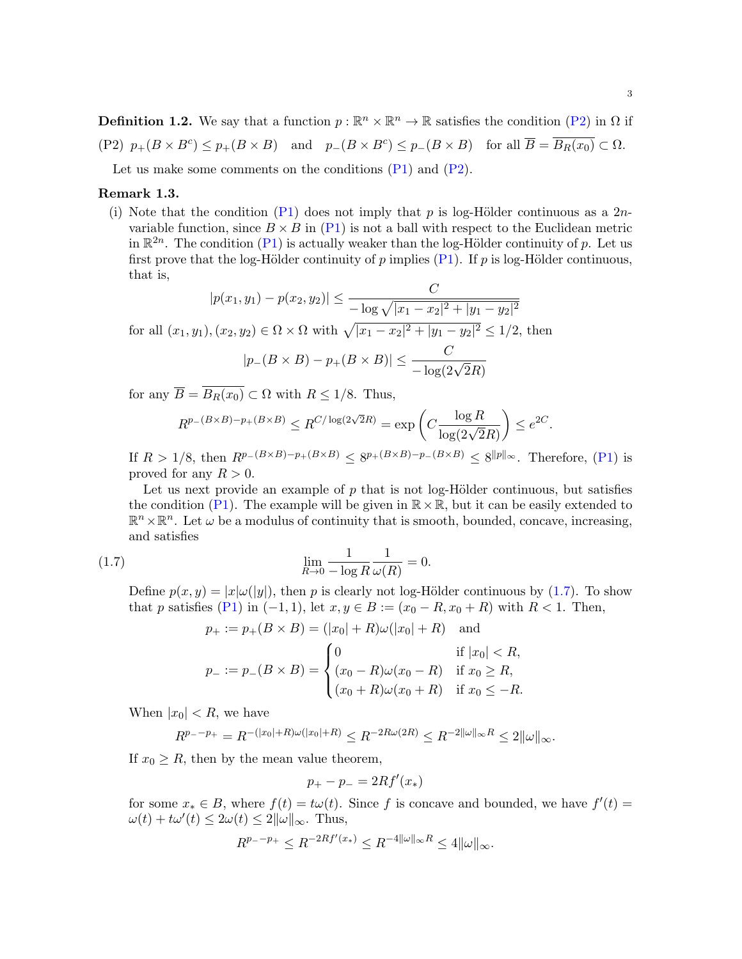<span id="page-2-0"></span>**Definition 1.2.** We say that a function  $p : \mathbb{R}^n \times \mathbb{R}^n \to \mathbb{R}$  satisfies the condition [\(P2\)](#page-2-0) in  $\Omega$  if (P2)  $p_+(B \times B^c) \leq p_+(B \times B)$  and  $p_-(B \times B^c) \leq p_-(B \times B)$  for all  $\overline{B} = \overline{B_R(x_0)} \subset \Omega$ .

Let us make some comments on the conditions  $(P1)$  and  $(P2)$ .

### Remark 1.3.

(i) Note that the condition [\(P1\)](#page-1-2) does not imply that p is log-Hölder continuous as a  $2n$ variable function, since  $B \times B$  in [\(P1\)](#page-1-2) is not a ball with respect to the Euclidean metric in  $\mathbb{R}^{2n}$ . The condition [\(P1\)](#page-1-2) is actually weaker than the log-Hölder continuity of p. Let us first prove that the log-Hölder continuity of p implies [\(P1\)](#page-1-2). If p is log-Hölder continuous, that is,

$$
|p(x_1, y_1) - p(x_2, y_2)| \le \frac{C}{-\log \sqrt{|x_1 - x_2|^2 + |y_1 - y_2|^2}}
$$
  
for all  $(x_1, y_1), (x_2, y_2) \in \Omega \times \Omega$  with  $\sqrt{|x_1 - x_2|^2 + |y_1 - y_2|^2} \le 1/2$ , then

$$
|p_{-}(B \times B) - p_{+}(B \times B)| \leq \frac{C}{-\log(2\sqrt{2}R)}
$$

for any  $\overline{B} = \overline{B_R(x_0)} \subset \Omega$  with  $R \le 1/8$ . Thus,

$$
R^{p_-(B\times B)-p_+(B\times B)}\leq R^{C/\log(2\sqrt{2}R)}=\exp\left(C\frac{\log R}{\log(2\sqrt{2}R)}\right)\leq e^{2C}.
$$

If  $R > 1/8$ , then  $R^{p-(B\times B)-p+(B\times B)} \leq 8^{p+(B\times B)-p-(B\times B)} \leq 8^{\|p\|_{\infty}}$ . Therefore, [\(P1\)](#page-1-2) is proved for any  $R > 0$ .

Let us next provide an example of  $p$  that is not log-Hölder continuous, but satisfies the condition [\(P1\)](#page-1-2). The example will be given in  $\mathbb{R} \times \mathbb{R}$ , but it can be easily extended to  $\mathbb{R}^n \times \mathbb{R}^n$ . Let  $\omega$  be a modulus of continuity that is smooth, bounded, concave, increasing, and satisfies

(1.7) 
$$
\lim_{R \to 0} \frac{1}{-\log R} \frac{1}{\omega(R)} = 0.
$$

Define  $p(x, y) = |x| \omega(|y|)$ , then p is clearly not log-Hölder continuous by [\(1.7\)](#page-1-3). To show that p satisfies [\(P1\)](#page-1-2) in  $(-1, 1)$ , let  $x, y \in B := (x_0 - R, x_0 + R)$  with  $R < 1$ . Then,

$$
p_{+} := p_{+}(B \times B) = (|x_{0}| + R)\omega(|x_{0}| + R) \text{ and}
$$
  
\n
$$
\begin{cases} 0 & \text{if } |x_{0}| < R, \end{cases}
$$

$$
p_{-} := p_{-}(B \times B) = \begin{cases} \circ & \text{if } x_{0} < R, \\ (x_{0} - R)\omega(x_{0} - R) & \text{if } x_{0} \geq R, \\ (x_{0} + R)\omega(x_{0} + R) & \text{if } x_{0} \leq -R. \end{cases}
$$

When  $|x_0| < R$ , we have

$$
R^{p_{-}-p_{+}} = R^{-(|x_0|+R)\omega(|x_0|+R)} \le R^{-2R\omega(2R)} \le R^{-2||\omega||_{\infty}R} \le 2||\omega||_{\infty}.
$$

If  $x_0 \geq R$ , then by the mean value theorem,

$$
p_{+} - p_{-} = 2Rf'(x_{*})
$$

for some  $x_* \in B$ , where  $f(t) = t\omega(t)$ . Since f is concave and bounded, we have  $f'(t) =$  $\omega(t) + t\omega'(t) \leq 2\omega(t) \leq 2\|\omega\|_{\infty}$ . Thus,

$$
R^{p_--p_+}\leq R^{-2Rf'(x_*)}\leq R^{-4\|\omega\|_\infty R}\leq 4\|\omega\|_\infty.
$$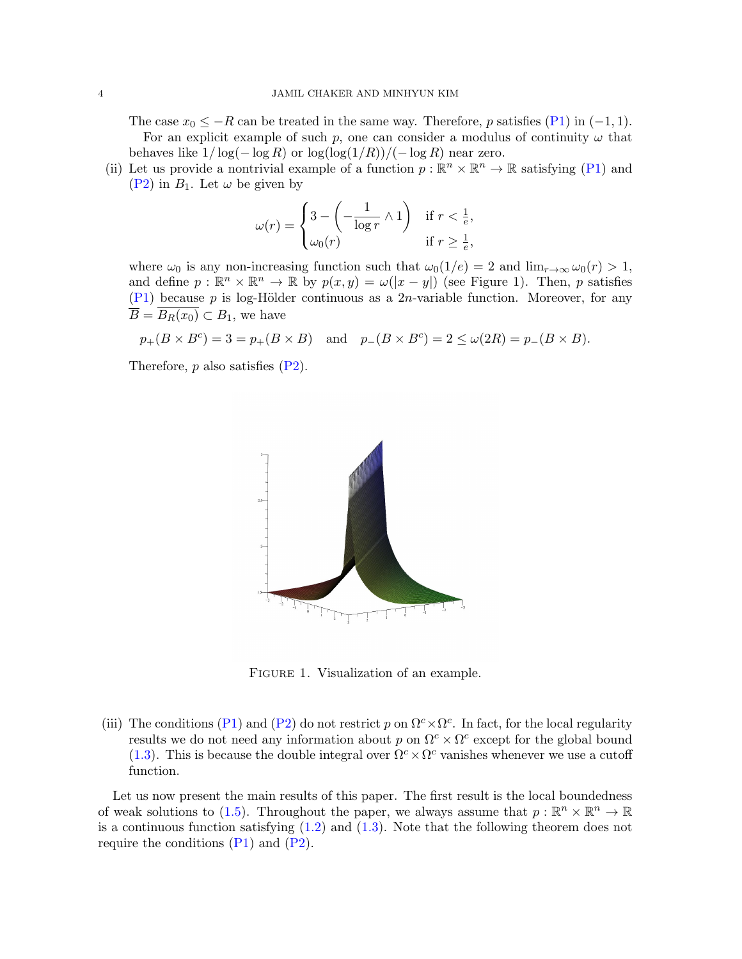The case  $x_0 \leq -R$  can be treated in the same way. Therefore, p satisfies [\(P1\)](#page-1-2) in (-1, 1). For an explicit example of such p, one can consider a modulus of continuity  $\omega$  that behaves like  $1/\log(-\log R)$  or  $\log(\log(1/R))/(-\log R)$  near zero.

(ii) Let us provide a nontrivial example of a function  $p : \mathbb{R}^n \times \mathbb{R}^n \to \mathbb{R}$  satisfying [\(P1\)](#page-1-2) and  $(P2)$  in  $B_1$ . Let  $\omega$  be given by

$$
\omega(r) = \begin{cases} 3 - \left(-\frac{1}{\log r} \wedge 1\right) & \text{if } r < \frac{1}{e}, \\ \omega_0(r) & \text{if } r \ge \frac{1}{e}, \end{cases}
$$

where  $\omega_0$  is any non-increasing function such that  $\omega_0(1/e) = 2$  and  $\lim_{r\to\infty} \omega_0(r) > 1$ , and define  $p : \mathbb{R}^n \times \mathbb{R}^n \to \mathbb{R}$  by  $p(x, y) = \omega(|x - y|)$  (see Figure 1). Then, p satisfies [\(P1\)](#page-1-2) because p is log-Hölder continuous as a 2n-variable function. Moreover, for any  $\overline{B} = \overline{B_R(x_0)} \subset B_1$ , we have

$$
p_+(B \times B^c) = 3 = p_+(B \times B)
$$
 and  $p_-(B \times B^c) = 2 \le \omega(2R) = p_-(B \times B)$ .

Therefore,  $p$  also satisfies  $(P2)$ .



FIGURE 1. Visualization of an example.

(iii) The conditions [\(P1\)](#page-1-2) and [\(P2\)](#page-2-0) do not restrict p on  $\Omega^c \times \Omega^c$ . In fact, for the local regularity results we do not need any information about p on  $\Omega^c \times \Omega^c$  except for the global bound [\(1.3\)](#page-0-2). This is because the double integral over  $\Omega^c \times \Omega^c$  vanishes whenever we use a cutoff function.

<span id="page-3-0"></span>Let us now present the main results of this paper. The first result is the local boundedness of weak solutions to [\(1.5\)](#page-1-1). Throughout the paper, we always assume that  $p : \mathbb{R}^n \times \mathbb{R}^n \to \mathbb{R}$ is a continuous function satisfying  $(1.2)$  and  $(1.3)$ . Note that the following theorem does not require the conditions  $(P1)$  and  $(P2)$ .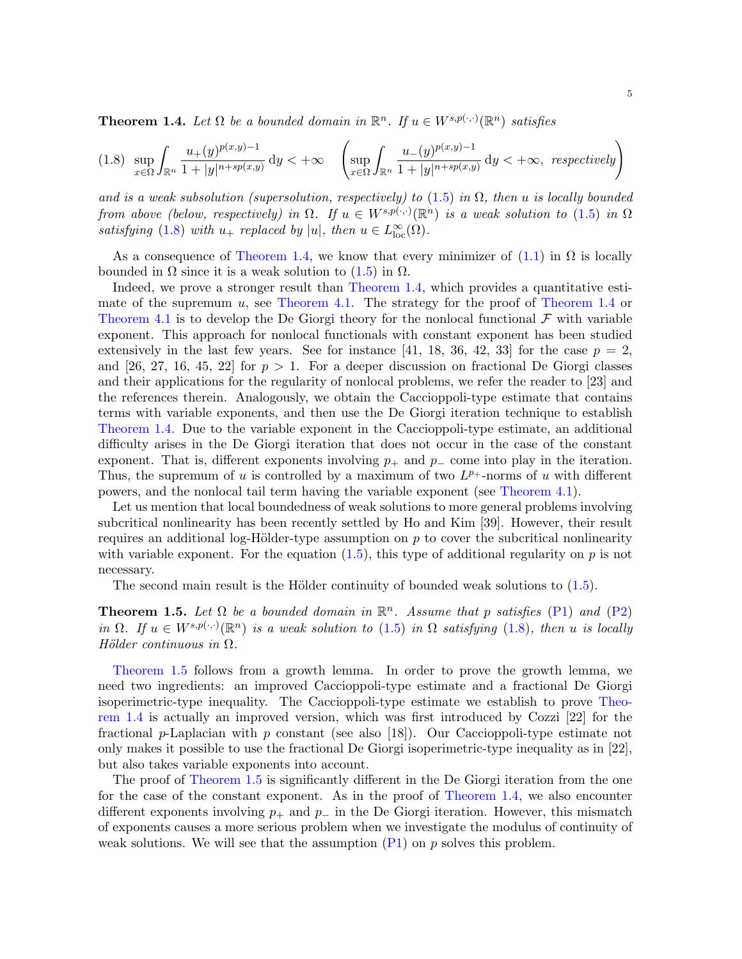**Theorem 1.4.** Let  $\Omega$  be a bounded domain in  $\mathbb{R}^n$ . If  $u \in W^{s,p(\cdot,\cdot)}(\mathbb{R}^n)$  satisfies

<span id="page-4-0"></span>
$$
(1.8)\ \ \sup_{x\in\Omega}\int_{\mathbb{R}^n}\frac{u_+(y)^{p(x,y)-1}}{1+|y|^{n+sp(x,y)}}\,\mathrm{d}y<+\infty\quad \left(\sup_{x\in\Omega}\int_{\mathbb{R}^n}\frac{u_-(y)^{p(x,y)-1}}{1+|y|^{n+sp(x,y)}}\,\mathrm{d}y<+\infty,\ \ respectively\right)
$$

and is a weak subsolution (supersolution, respectively) to [\(1.5\)](#page-1-1) in  $\Omega$ , then u is locally bounded from above (below, respectively) in  $\Omega$ . If  $u \in W^{s,p(\cdot,\cdot)}(\mathbb{R}^n)$  is a weak solution to [\(1.5\)](#page-1-1) in  $\Omega$ satisfying [\(1.8\)](#page-4-0) with  $u_+$  replaced by |u|, then  $u \in L^{\infty}_{loc}(\Omega)$ .

As a consequence of [Theorem 1.4,](#page-3-0) we know that every minimizer of  $(1.1)$  in  $\Omega$  is locally bounded in  $\Omega$  since it is a weak solution to  $(1.5)$  in  $\Omega$ .

Indeed, we prove a stronger result than [Theorem 1.4,](#page-3-0) which provides a quantitative esti-mate of the supremum u, see [Theorem 4.1.](#page-10-0) The strategy for the proof of [Theorem 1.4](#page-3-0) or [Theorem 4.1](#page-10-0) is to develop the De Giorgi theory for the nonlocal functional  $\mathcal F$  with variable exponent. This approach for nonlocal functionals with constant exponent has been studied extensively in the last few years. See for instance [\[41,](#page-27-12) [18,](#page-26-5) [36,](#page-27-13) [42,](#page-27-14) [33\]](#page-27-15) for the case  $p = 2$ , and [\[26,](#page-26-6) [27,](#page-26-7) [16,](#page-26-8) [45,](#page-27-16) [22\]](#page-26-9) for  $p > 1$ . For a deeper discussion on fractional De Giorgi classes and their applications for the regularity of nonlocal problems, we refer the reader to [\[23\]](#page-26-10) and the references therein. Analogously, we obtain the Caccioppoli-type estimate that contains terms with variable exponents, and then use the De Giorgi iteration technique to establish [Theorem 1.4.](#page-3-0) Due to the variable exponent in the Caccioppoli-type estimate, an additional difficulty arises in the De Giorgi iteration that does not occur in the case of the constant exponent. That is, different exponents involving  $p_+$  and  $p_-\$  come into play in the iteration. Thus, the supremum of u is controlled by a maximum of two  $L^{p_+}$ -norms of u with different powers, and the nonlocal tail term having the variable exponent (see [Theorem 4.1\)](#page-10-0).

Let us mention that local boundedness of weak solutions to more general problems involving subcritical nonlinearity has been recently settled by Ho and Kim [\[39\]](#page-27-17). However, their result requires an additional log-Hölder-type assumption on  $p$  to cover the subcritical nonlinearity with variable exponent. For the equation  $(1.5)$ , this type of additional regularity on p is not necessary.

The second main result is the Hölder continuity of bounded weak solutions to  $(1.5)$ .

<span id="page-4-1"></span>**Theorem 1.5.** Let  $\Omega$  be a bounded domain in  $\mathbb{R}^n$ . Assume that p satisfies [\(P1\)](#page-1-2) and [\(P2\)](#page-2-0) in  $\Omega$ . If  $u \in W^{s,p(\cdot,\cdot)}(\mathbb{R}^n)$  is a weak solution to [\(1.5\)](#page-1-1) in  $\Omega$  satisfying [\(1.8\)](#page-4-0), then u is locally Hölder continuous in  $\Omega$ .

[Theorem 1.5](#page-4-1) follows from a growth lemma. In order to prove the growth lemma, we need two ingredients: an improved Caccioppoli-type estimate and a fractional De Giorgi isoperimetric-type inequality. The Caccioppoli-type estimate we establish to prove [Theo](#page-3-0)[rem 1.4](#page-3-0) is actually an improved version, which was first introduced by Cozzi [\[22\]](#page-26-9) for the fractional p-Laplacian with p constant (see also [\[18\]](#page-26-5)). Our Caccioppoli-type estimate not only makes it possible to use the fractional De Giorgi isoperimetric-type inequality as in [\[22\]](#page-26-9), but also takes variable exponents into account.

The proof of [Theorem 1.5](#page-4-1) is significantly different in the De Giorgi iteration from the one for the case of the constant exponent. As in the proof of [Theorem 1.4,](#page-3-0) we also encounter different exponents involving  $p_+$  and  $p_-\$  in the De Giorgi iteration. However, this mismatch of exponents causes a more serious problem when we investigate the modulus of continuity of weak solutions. We will see that the assumption  $(P1)$  on p solves this problem.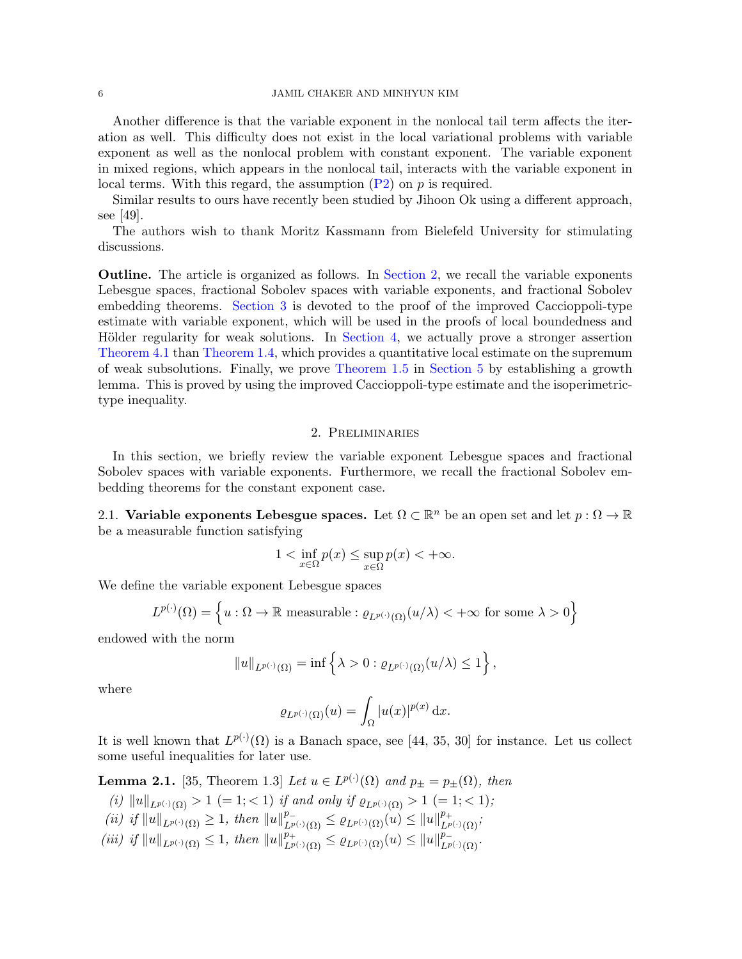### 6 JAMIL CHAKER AND MINHYUN KIM

Another difference is that the variable exponent in the nonlocal tail term affects the iteration as well. This difficulty does not exist in the local variational problems with variable exponent as well as the nonlocal problem with constant exponent. The variable exponent in mixed regions, which appears in the nonlocal tail, interacts with the variable exponent in local terms. With this regard, the assumption  $(P2)$  on p is required.

Similar results to ours have recently been studied by Jihoon Ok using a different approach, see [\[49\]](#page-27-18).

The authors wish to thank Moritz Kassmann from Bielefeld University for stimulating discussions.

Outline. The article is organized as follows. In [Section 2,](#page-5-0) we recall the variable exponents Lebesgue spaces, fractional Sobolev spaces with variable exponents, and fractional Sobolev embedding theorems. [Section 3](#page-7-0) is devoted to the proof of the improved Caccioppoli-type estimate with variable exponent, which will be used in the proofs of local boundedness and Hölder regularity for weak solutions. In [Section 4,](#page-10-1) we actually prove a stronger assertion [Theorem 4.1](#page-10-0) than [Theorem 1.4,](#page-3-0) which provides a quantitative local estimate on the supremum of weak subsolutions. Finally, we prove [Theorem 1.5](#page-4-1) in [Section 5](#page-16-0) by establishing a growth lemma. This is proved by using the improved Caccioppoli-type estimate and the isoperimetrictype inequality.

## 2. Preliminaries

<span id="page-5-0"></span>In this section, we briefly review the variable exponent Lebesgue spaces and fractional Sobolev spaces with variable exponents. Furthermore, we recall the fractional Sobolev embedding theorems for the constant exponent case.

2.1. Variable exponents Lebesgue spaces. Let  $\Omega \subset \mathbb{R}^n$  be an open set and let  $p : \Omega \to \mathbb{R}$ be a measurable function satisfying

$$
1 < \inf_{x \in \Omega} p(x) \le \sup_{x \in \Omega} p(x) < +\infty.
$$

We define the variable exponent Lebesgue spaces

$$
L^{p(\cdot)}(\Omega) = \left\{ u : \Omega \to \mathbb{R} \text{ measurable} : \varrho_{L^{p(\cdot)}(\Omega)}(u/\lambda) < +\infty \text{ for some } \lambda > 0 \right\}
$$

endowed with the norm

$$
||u||_{L^{p(\cdot)}(\Omega)} = \inf \left\{ \lambda > 0 : \varrho_{L^{p(\cdot)}(\Omega)}(u/\lambda) \leq 1 \right\},\,
$$

where

$$
\varrho_{L^{p(\cdot)}(\Omega)}(u) = \int_{\Omega} |u(x)|^{p(x)} dx.
$$

It is well known that  $L^{p(\cdot)}(\Omega)$  is a Banach space, see [\[44,](#page-27-19) [35,](#page-27-20) [30\]](#page-27-21) for instance. Let us collect some useful inequalities for later use.

<span id="page-5-2"></span>**Lemma 2.1.** [\[35,](#page-27-20) Theorem 1.3] Let  $u \in L^{p(\cdot)}(\Omega)$  and  $p_{\pm} = p_{\pm}(\Omega)$ , then

- (i)  $||u||_{L^{p(\cdot)}(\Omega)} > 1$  (= 1; < 1) if and only if  $\varrho_{L^{p(\cdot)}(\Omega)} > 1$  (= 1; < 1);
- $(ii)$  if  $||u||_{L^{p(\cdot)}(\Omega)} \geq 1$ , then  $||u||_{L^{p(\cdot)}(\Omega)}^{p_{-}} \leq \varrho_{L^{p(\cdot)}(\Omega)}(u) \leq ||u||_{L^{p(\cdot)}(\Omega)}^{p_{+}}$ ;
- <span id="page-5-1"></span> $(iii)$  if  $||u||_{L^{p(\cdot)}(\Omega)} \leq 1$ , then  $||u||_{L^{p(\cdot)}(\Omega)}^{p_+} \leq \varrho_{L^{p(\cdot)}(\Omega)}(u) \leq ||u||_{L^{p(\cdot)}(\Omega)}^{p_-}$ .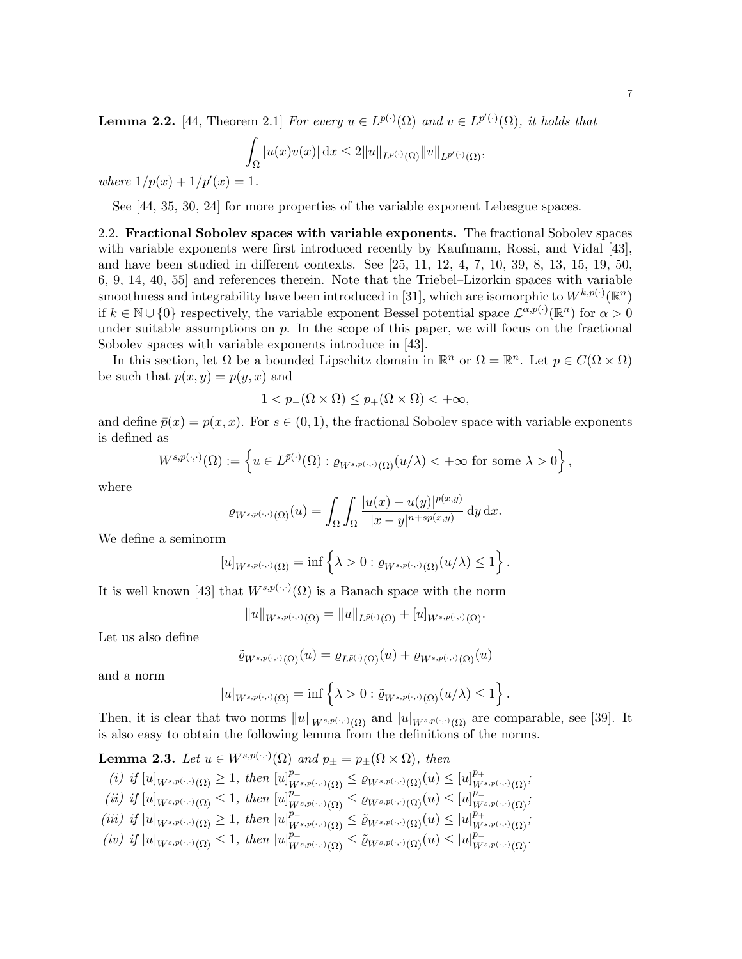**Lemma 2.2.** [\[44,](#page-27-19) Theorem 2.1] For every  $u \in L^{p(\cdot)}(\Omega)$  and  $v \in L^{p'(\cdot)}(\Omega)$ , it holds that

$$
\int_{\Omega} |u(x)v(x)| dx \leq 2||u||_{L^{p(\cdot)}(\Omega)} ||v||_{L^{p'(\cdot)}(\Omega)},
$$

where  $1/p(x) + 1/p'(x) = 1$ .

See [\[44,](#page-27-19) [35,](#page-27-20) [30,](#page-27-21) [24\]](#page-26-11) for more properties of the variable exponent Lebesgue spaces.

<span id="page-6-0"></span>2.2. Fractional Sobolev spaces with variable exponents. The fractional Sobolev spaces with variable exponents were first introduced recently by Kaufmann, Rossi, and Vidal [\[43\]](#page-27-22), and have been studied in different contexts. See [\[25,](#page-26-12) [11,](#page-26-13) [12,](#page-26-14) [4,](#page-26-15) [7,](#page-26-16) [10,](#page-26-17) [39,](#page-27-17) [8,](#page-26-18) [13,](#page-26-19) [15,](#page-26-20) [19,](#page-26-21) [50,](#page-27-23) [6,](#page-26-22) [9,](#page-26-23) [14,](#page-26-24) [40,](#page-27-24) [55\]](#page-27-25) and references therein. Note that the Triebel–Lizorkin spaces with variable smoothness and integrability have been introduced in [\[31\]](#page-27-26), which are isomorphic to  $W^{k,p(\cdot)}(\mathbb{R}^n)$ if  $k \in \mathbb{N} \cup \{0\}$  respectively, the variable exponent Bessel potential space  $\mathcal{L}^{\alpha,p(\cdot)}(\mathbb{R}^n)$  for  $\alpha > 0$ under suitable assumptions on  $p$ . In the scope of this paper, we will focus on the fractional Sobolev spaces with variable exponents introduce in [\[43\]](#page-27-22).

In this section, let  $\Omega$  be a bounded Lipschitz domain in  $\mathbb{R}^n$  or  $\Omega = \mathbb{R}^n$ . Let  $p \in C(\overline{\Omega} \times \overline{\Omega})$ be such that  $p(x, y) = p(y, x)$  and

$$
1 < p_-(\Omega \times \Omega) \le p_+(\Omega \times \Omega) < +\infty,
$$

and define  $\bar{p}(x) = p(x, x)$ . For  $s \in (0, 1)$ , the fractional Sobolev space with variable exponents is defined as

$$
W^{s,p(\cdot,\cdot)}(\Omega) := \left\{ u \in L^{\bar{p}(\cdot)}(\Omega) : \varrho_{W^{s,p(\cdot,\cdot)}(\Omega)}(u/\lambda) < +\infty \text{ for some } \lambda > 0 \right\},\,
$$

where

$$
\varrho_{W^{s,p(\cdot,\cdot)}(\Omega)}(u) = \int_{\Omega} \int_{\Omega} \frac{|u(x)-u(y)|^{p(x,y)}}{|x-y|^{n+sp(x,y)}} \, \mathrm{d}y \, \mathrm{d}x.
$$

We define a seminorm

$$
[u]_{W^{s,p(\cdot,\cdot)}(\Omega)} = \inf \left\{ \lambda > 0 : \varrho_{W^{s,p(\cdot,\cdot)}(\Omega)}(u/\lambda) \leq 1 \right\}.
$$

It is well known [\[43\]](#page-27-22) that  $W^{s,p(\cdot,\cdot)}(\Omega)$  is a Banach space with the norm

$$
||u||_{W^{s,p(\cdot,\cdot)}(\Omega)}=||u||_{L^{\bar{p}(\cdot)}(\Omega)}+[u]_{W^{s,p(\cdot,\cdot)}(\Omega)}.
$$

Let us also define

$$
\tilde{\varrho}_{W^{s,p(\cdot,\cdot)}(\Omega)}(u)=\varrho_{L^{\bar{p}(\cdot)}(\Omega)}(u)+\varrho_{W^{s,p(\cdot,\cdot)}(\Omega)}(u)
$$

and a norm

$$
|u|_{W^{s,p(\cdot,\cdot)}(\Omega)} = \inf \left\{ \lambda > 0 : \tilde{\varrho}_{W^{s,p(\cdot,\cdot)}(\Omega)}(u/\lambda) \le 1 \right\}
$$

.

Then, it is clear that two norms  $||u||_{W^{s,p(\cdot,\cdot)}(\Omega)}$  and  $||u||_{W^{s,p(\cdot,\cdot)}(\Omega)}$  are comparable, see [\[39\]](#page-27-17). It is also easy to obtain the following lemma from the definitions of the norms.

<span id="page-6-1"></span>**Lemma 2.3.** Let  $u \in W^{s,p(\cdot,\cdot)}(\Omega)$  and  $p_{\pm} = p_{\pm}(\Omega \times \Omega)$ , then

$$
(i) \ \ if \ [u]_{W^{s,p(\cdot,\cdot)}(\Omega)} \geq 1, \ then \ [u]_{W^{s,p(\cdot,\cdot)}(\Omega)}^{p_-} \leq \varrho_{W^{s,p(\cdot,\cdot)}(\Omega)}(u) \leq [u]_{W^{s,p(\cdot,\cdot)}(\Omega)}^{p_+};
$$

- $(iii)$  if  $[u]_{W^{s,p(\cdot,\cdot)}(\Omega)} \leq 1$ , then  $[u]_{W^{s,p(\cdot,\cdot)}(\Omega)}^{p_+} \leq \varrho_{W^{s,p(\cdot,\cdot)}(\Omega)}(u) \leq [u]_{W^{s,p(\cdot,\cdot)}(\Omega)}^{p_-}$
- (iii) if  $|u|_{W^{s,p(\cdot,\cdot)}(\Omega)} \geq 1$ , then  $|u|_{W^{s,p(\cdot,\cdot)}(\Omega)}^{p_-} \leq \tilde{\varrho}_{W^{s,p(\cdot,\cdot)}(\Omega)}(u) \leq |u|_{W^{s,p(\cdot,\cdot)}(\Omega)}^{p_+}$ ;
- $(iv)$  if  $|u|_{W^{s,p(\cdot,\cdot)}(\Omega)} \leq 1$ , then  $|u|_{W^{s,p(\cdot,\cdot)}(\Omega)}^{p_+} \leq \tilde{\varrho}_{W^{s,p(\cdot,\cdot)}(\Omega)}(u) \leq |u|_{W^{s,p(\cdot,\cdot)}(\Omega)}^{p_-}$ .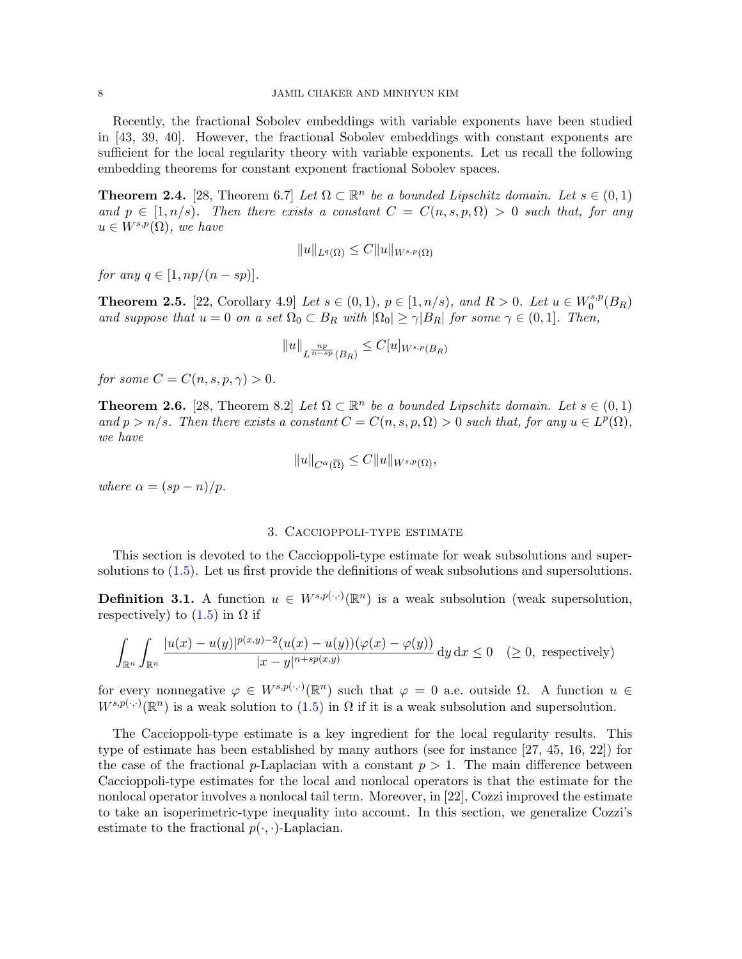Recently, the fractional Sobolev embeddings with variable exponents have been studied in [\[43,](#page-27-22) [39,](#page-27-17) [40\]](#page-27-24). However, the fractional Sobolev embeddings with constant exponents are sufficient for the local regularity theory with variable exponents. Let us recall the following embedding theorems for constant exponent fractional Sobolev spaces.

<span id="page-7-3"></span>**Theorem 2.4.** [\[28,](#page-26-25) Theorem 6.7] Let  $\Omega \subset \mathbb{R}^n$  be a bounded Lipschitz domain. Let  $s \in (0,1)$ and  $p \in [1, n/s)$ . Then there exists a constant  $C = C(n, s, p, \Omega) > 0$  such that, for any  $u \in W^{s,p}(\Omega)$ , we have

$$
||u||_{L^q(\Omega)} \leq C||u||_{W^{s,p}(\Omega)}
$$

for any  $q \in [1, np/(n - sp)].$ 

<span id="page-7-4"></span>**Theorem 2.5.** [\[22,](#page-26-9) Corollary 4.9] Let  $s \in (0,1)$ ,  $p \in [1, n/s)$ , and  $R > 0$ . Let  $u \in W_0^{s,p}$  $b_0^{s,p}(B_R)$ and suppose that  $u = 0$  on a set  $\Omega_0 \subset B_R$  with  $|\Omega_0| \geq \gamma |B_R|$  for some  $\gamma \in (0,1]$ . Then,

$$
||u||_{L^{\frac{np}{n-sp}}(B_R)} \leq C[u]_{W^{s,p}(B_R)}
$$

for some  $C = C(n, s, p, \gamma) > 0$ .

<span id="page-7-2"></span>**Theorem 2.6.** [\[28,](#page-26-25) Theorem 8.2] Let  $\Omega \subset \mathbb{R}^n$  be a bounded Lipschitz domain. Let  $s \in (0,1)$ and  $p > n/s$ . Then there exists a constant  $C = C(n, s, p, \Omega) > 0$  such that, for any  $u \in L^p(\Omega)$ , we have

$$
||u||_{C^{\alpha}(\overline{\Omega})} \leq C||u||_{W^{s,p}(\Omega)},
$$

where  $\alpha = (sp - n)/p$ .

### 3. Caccioppoli-type estimate

<span id="page-7-0"></span>This section is devoted to the Caccioppoli-type estimate for weak subsolutions and supersolutions to [\(1.5\)](#page-1-1). Let us first provide the definitions of weak subsolutions and supersolutions.

**Definition 3.1.** A function  $u \in W^{s,p(\cdot,\cdot)}(\mathbb{R}^n)$  is a weak subsolution (weak supersolution, respectively) to  $(1.5)$  in  $\Omega$  if

$$
\int_{\mathbb{R}^n} \int_{\mathbb{R}^n} \frac{|u(x) - u(y)|^{p(x,y)-2} (u(x) - u(y)) (\varphi(x) - \varphi(y))}{|x - y|^{n + sp(x,y)}} \, \mathrm{d}y \, \mathrm{d}x \le 0 \quad (\ge 0, \text{ respectively})
$$

for every nonnegative  $\varphi \in W^{s,p(\cdot,\cdot)}(\mathbb{R}^n)$  such that  $\varphi = 0$  a.e. outside  $\Omega$ . A function  $u \in$  $W^{s,p(\cdot,\cdot)}(\mathbb{R}^n)$  is a weak solution to  $(1.5)$  in  $\Omega$  if it is a weak subsolution and supersolution.

<span id="page-7-1"></span>The Caccioppoli-type estimate is a key ingredient for the local regularity results. This type of estimate has been established by many authors (see for instance [\[27,](#page-26-7) [45,](#page-27-16) [16,](#page-26-8) [22\]](#page-26-9)) for the case of the fractional p-Laplacian with a constant  $p > 1$ . The main difference between Caccioppoli-type estimates for the local and nonlocal operators is that the estimate for the nonlocal operator involves a nonlocal tail term. Moreover, in [\[22\]](#page-26-9), Cozzi improved the estimate to take an isoperimetric-type inequality into account. In this section, we generalize Cozzi's estimate to the fractional  $p(\cdot, \cdot)$ -Laplacian.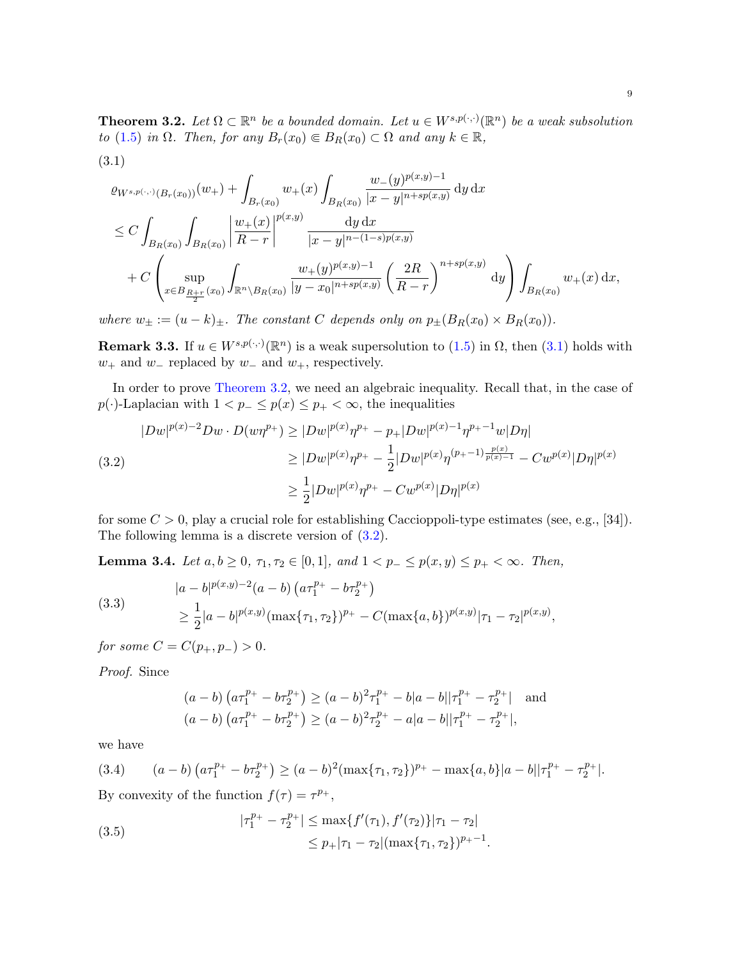**Theorem 3.2.** Let  $\Omega \subset \mathbb{R}^n$  be a bounded domain. Let  $u \in W^{s,p(\cdot,\cdot)}(\mathbb{R}^n)$  be a weak subsolution to [\(1.5\)](#page-1-1) in  $\Omega$ . Then, for any  $B_r(x_0) \in B_R(x_0) \subset \Omega$  and any  $k \in \mathbb{R}$ ,

<span id="page-8-0"></span>
$$
\varrho_{W^{s,p(\cdot,\cdot)}(B_r(x_0))}(w_+) + \int_{B_r(x_0)} w_+(x) \int_{B_R(x_0)} \frac{w_-(y)^{p(x,y)-1}}{|x-y|^{n+sp(x,y)}} \, \mathrm{d}y \, \mathrm{d}x
$$
\n
$$
\leq C \int_{B_R(x_0)} \int_{B_R(x_0)} \left| \frac{w_+(x)}{R-r} \right|^{p(x,y)} \frac{\, \mathrm{d}y \, \mathrm{d}x}{|x-y|^{n-(1-s)p(x,y)}} \, \mathrm{d}y \, \mathrm{d}x + C \left( \sup_{x \in B_{\frac{R+r}{2}}(x_0)} \int_{\mathbb{R}^n \setminus B_R(x_0)} \frac{w_+(y)^{p(x,y)-1}}{|y-x_0|^{n+sp(x,y)}} \left( \frac{2R}{R-r} \right)^{n+sp(x,y)} \, \mathrm{d}y \right) \int_{B_R(x_0)} w_+(x) \, \mathrm{d}x,
$$

where  $w_{\pm} := (u - k)_{\pm}$ . The constant C depends only on  $p_{\pm}(B_R(x_0) \times B_R(x_0))$ .

**Remark 3.3.** If  $u \in W^{s,p(\cdot,\cdot)}(\mathbb{R}^n)$  is a weak supersolution to [\(1.5\)](#page-1-1) in  $\Omega$ , then [\(3.1\)](#page-8-0) holds with  $w_+$  and  $w_-\$  replaced by  $w_-\$  and  $w_+$ , respectively.

In order to prove [Theorem 3.2,](#page-7-1) we need an algebraic inequality. Recall that, in the case of  $p(\cdot)$ -Laplacian with  $1 < p_- \leq p(x) \leq p_+ < \infty$ , the inequalities

<span id="page-8-1"></span>
$$
|Dw|^{p(x)-2}Dw \cdot D(w\eta^{p_+}) \ge |Dw|^{p(x)}\eta^{p_+} - p_+|Dw|^{p(x)-1}\eta^{p_+-1}w|D\eta|
$$
  
\n
$$
\ge |Dw|^{p(x)}\eta^{p_+} - \frac{1}{2}|Dw|^{p(x)}\eta^{(p_+-1)\frac{p(x)}{p(x)-1}} - Cw^{p(x)}|D\eta|^{p(x)}
$$
  
\n
$$
\ge \frac{1}{2}|Dw|^{p(x)}\eta^{p_+} - Cw^{p(x)}|D\eta|^{p(x)}
$$

for some  $C > 0$ , play a crucial role for establishing Caccioppoli-type estimates (see, e.g., [\[34\]](#page-27-6)). The following lemma is a discrete version of [\(3.2\)](#page-8-1).

<span id="page-8-5"></span>Lemma 3.4. Let  $a, b ≥ 0, \tau_1, \tau_2 ∈ [0, 1],$  and  $1 < p_− ≤ p(x, y) ≤ p_+ < ∞$ . Then,

<span id="page-8-4"></span>(3.3)  
\n
$$
\begin{aligned}\n|a - b|^{p(x,y)-2}(a - b) (a\tau_1^{p_+} - b\tau_2^{p_+}) \\
&\ge \frac{1}{2}|a - b|^{p(x,y)}(\max\{\tau_1, \tau_2\})^{p_+} - C(\max\{a, b\})^{p(x,y)}|\tau_1 - \tau_2|^{p(x,y)},\n\end{aligned}
$$

for some  $C = C(p_+, p_-) > 0$ .

Proof. Since

(3.1)

$$
(a - b) (a\tau_1^{p_+} - b\tau_2^{p_+}) \ge (a - b)^2 \tau_1^{p_+} - b|a - b||\tau_1^{p_+} - \tau_2^{p_+}| \text{ and}
$$
  

$$
(a - b) (a\tau_1^{p_+} - b\tau_2^{p_+}) \ge (a - b)^2 \tau_2^{p_+} - a|a - b||\tau_1^{p_+} - \tau_2^{p_+}|,
$$

we have

<span id="page-8-2"></span>(3.4) 
$$
(a-b)\left(a\tau_1^{p_+} - b\tau_2^{p_+}\right) \ge (a-b)^2 \left(\max\{\tau_1, \tau_2\}\right)^{p_+} - \max\{a, b\}|a-b||\tau_1^{p_+} - \tau_2^{p_+}|.
$$
 By convexity of the function  $f(\tau) = \tau^{p_+}$ ,

<span id="page-8-3"></span>(3.5) 
$$
|\tau_1^{p_+} - \tau_2^{p_+}| \le \max\{f'(\tau_1), f'(\tau_2)\}|\tau_1 - \tau_2| \le p_+|\tau_1 - \tau_2|(\max\{\tau_1, \tau_2\})^{p_+ - 1}.
$$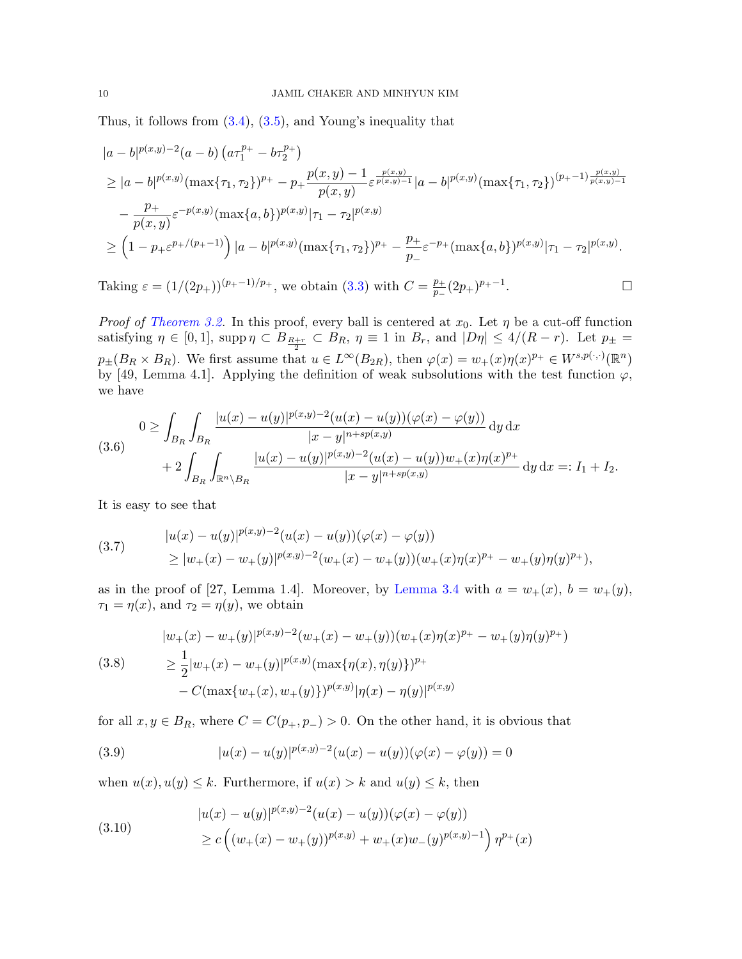Thus, it follows from [\(3.4\)](#page-8-2), [\(3.5\)](#page-8-3), and Young's inequality that

$$
|a-b|^{p(x,y)-2}(a-b) (a\tau_1^{p_+} - b\tau_2^{p_+})
$$
  
\n
$$
\geq |a-b|^{p(x,y)}(\max\{\tau_1, \tau_2\})^{p_+} - p_+ \frac{p(x,y)-1}{p(x,y)} \varepsilon^{\frac{p(x,y)}{p(x,y)-1}} |a-b|^{p(x,y)}(\max\{\tau_1, \tau_2\})^{(p_+-1)\frac{p(x,y)}{p(x,y)-1}}
$$
  
\n
$$
-\frac{p_+}{p(x,y)} \varepsilon^{-p(x,y)}(\max\{a,b\})^{p(x,y)}|\tau_1 - \tau_2|^{p(x,y)}
$$
  
\n
$$
\geq (1-p_+ \varepsilon^{p_+/(p_+-1)}) |a-b|^{p(x,y)}(\max\{\tau_1, \tau_2\})^{p_+} - \frac{p_+}{p_-} \varepsilon^{-p_+}(\max\{a,b\})^{p(x,y)}|\tau_1 - \tau_2|^{p(x,y)}.
$$

Taking  $\varepsilon = (1/(2p_+))^{(p_+-1)/p_+}$ , we obtain [\(3.3\)](#page-8-4) with  $C = \frac{p_+}{p_-}$  $\frac{p_+}{p_-}(2p_+)^{p_+-1}$ . В последните и последните и производите в село в село в село в село в село в село в село в село в село в сел<br>В село в село в село в село в село в село в село в село в село в село в село в село в село в село в село в сел

*Proof of [Theorem 3.2.](#page-7-1)* In this proof, every ball is centered at  $x_0$ . Let  $\eta$  be a cut-off function satisfying  $\eta \in [0,1]$ , supp $\eta \subset B_{\frac{R+r}{2}} \subset B_R$ ,  $\eta \equiv 1$  in  $B_r$ , and  $|D\eta| \leq 4/(R-r)$ . Let  $p_{\pm} =$  $p_{\pm}(B_R \times B_R)$ . We first assume that  $u \in L^{\infty}(B_{2R})$ , then  $\varphi(x) = w_+(x)\eta(x)^{p_+} \in W^{s,p(\cdot,\cdot)}(\mathbb{R}^n)$ by [\[49,](#page-27-18) Lemma 4.1]. Applying the definition of weak subsolutions with the test function  $\varphi$ , we have

<span id="page-9-2"></span>
$$
(3.6) \quad 0 \ge \int_{B_R} \int_{B_R} \frac{|u(x) - u(y)|^{p(x,y)-2} (u(x) - u(y)) (\varphi(x) - \varphi(y))}{|x - y|^{n + sp(x,y)}} \, \mathrm{d}y \, \mathrm{d}x + 2 \int_{B_R} \int_{\mathbb{R}^n \setminus B_R} \frac{|u(x) - u(y)|^{p(x,y)-2} (u(x) - u(y)) w_+(x) \eta(x)^{p_+}}{|x - y|^{n + sp(x,y)}} \, \mathrm{d}y \, \mathrm{d}x =: I_1 + I_2.
$$

It is easy to see that

<span id="page-9-0"></span>(3.7) 
$$
\begin{aligned} |u(x)-u(y)|^{p(x,y)-2}(u(x)-u(y))(\varphi(x)-\varphi(y)) \\ &\geq |w_+(x)-w_+(y)|^{p(x,y)-2}(w_+(x)-w_+(y))(w_+(x)\eta(x)^{p_+}-w_+(y)\eta(y)^{p_+}), \end{aligned}
$$

as in the proof of [\[27,](#page-26-7) Lemma 1.4]. Moreover, by [Lemma 3.4](#page-8-5) with  $a = w_+(x)$ ,  $b = w_+(y)$ ,  $\tau_1 = \eta(x)$ , and  $\tau_2 = \eta(y)$ , we obtain

$$
\begin{aligned} |w_+(x) - w_+(y)|^{p(x,y)-2}(w_+(x) - w_+(y))(w_+(x)\eta(x)^{p+} - w_+(y)\eta(y)^{p+}) \\ &\ge \frac{1}{2}|w_+(x) - w_+(y)|^{p(x,y)}(\max\{\eta(x), \eta(y)\})^{p+} \\ &- C(\max\{w_+(x), w_+(y)\})^{p(x,y)}|\eta(x) - \eta(y)|^{p(x,y)} \end{aligned}
$$

for all  $x, y \in B_R$ , where  $C = C(p_+, p_-) > 0$ . On the other hand, it is obvious that

(3.9) 
$$
|u(x) - u(y)|^{p(x,y)-2}(u(x) - u(y))(\varphi(x) - \varphi(y)) = 0
$$

when  $u(x), u(y) \leq k$ . Furthermore, if  $u(x) > k$  and  $u(y) \leq k$ , then

<span id="page-9-1"></span>(3.10)  
\n
$$
\begin{aligned}\n|u(x) - u(y)|^{p(x,y)-2} (u(x) - u(y)) (\varphi(x) - \varphi(y)) \\
\ge c \left( (w_+(x) - w_+(y))^{p(x,y)} + w_+(x) w_-(y)^{p(x,y)-1} \right) \eta^{p_+(x)}\n\end{aligned}
$$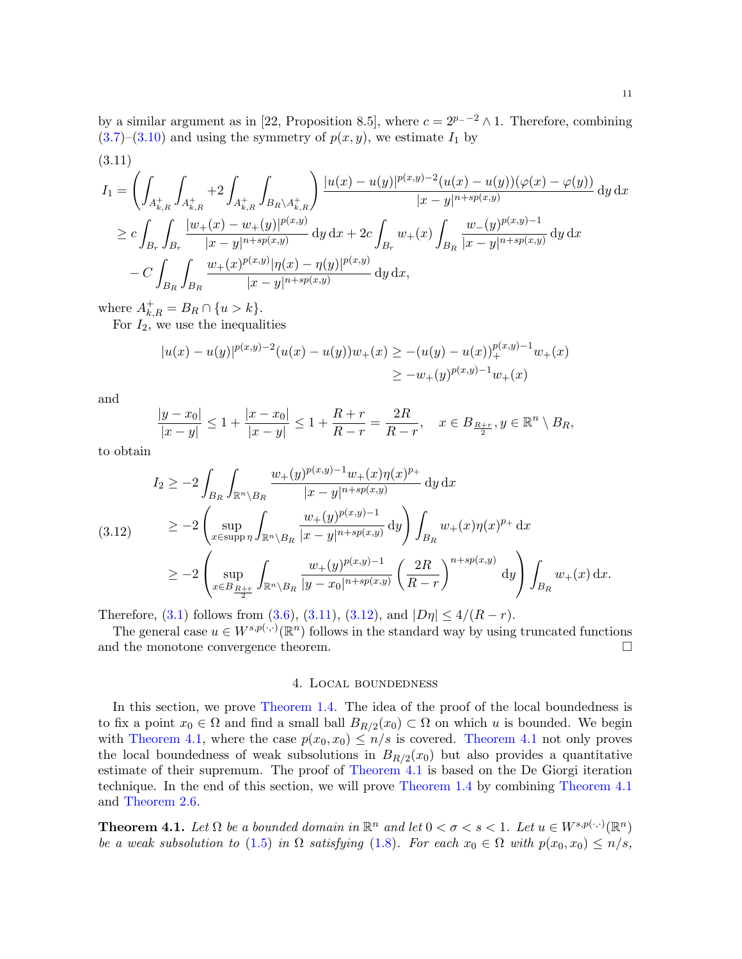<span id="page-10-2"></span>
$$
I_{1} = \left(\int_{A_{k,R}^{+}} \int_{A_{k,R}^{+}} +2 \int_{A_{k,R}^{+}} \int_{B_{R} \setminus A_{k,R}^{+}} \right) \frac{|u(x) - u(y)|^{p(x,y)-2} (u(x) - u(y)) (\varphi(x) - \varphi(y))}{|x - y|^{n+sp(x,y)}} dy dx
$$
  
\n
$$
\geq c \int_{B_{r}} \int_{B_{r}} \frac{|w_{+}(x) - w_{+}(y)|^{p(x,y)}}{|x - y|^{n+sp(x,y)}} dy dx + 2c \int_{B_{r}} w_{+}(x) \int_{B_{R}} \frac{w_{-}(y)^{p(x,y)-1}}{|x - y|^{n+sp(x,y)}} dy dx
$$
  
\n
$$
- C \int_{B_{R}} \int_{B_{R}} \frac{w_{+}(x)^{p(x,y)} |\eta(x) - \eta(y)|^{p(x,y)}}{|x - y|^{n+sp(x,y)}} dy dx,
$$

where  $A_{k,R}^{+} = B_R \cap \{u > k\}.$ 

For  $I_2$ , we use the inequalities

$$
|u(x) - u(y)|^{p(x,y)-2}(u(x) - u(y))w_+(x) \ge -(u(y) - u(x))_+^{p(x,y)-1}w_+(x)
$$
  

$$
\ge -w_+(y)^{p(x,y)-1}w_+(x)
$$

and

$$
\frac{|y-x_0|}{|x-y|} \le 1 + \frac{|x-x_0|}{|x-y|} \le 1 + \frac{R+r}{R-r} = \frac{2R}{R-r}, \quad x \in B_{\frac{R+r}{2}}, y \in \mathbb{R}^n \setminus B_R,
$$

to obtain

<span id="page-10-3"></span>
$$
I_2 \ge -2 \int_{B_R} \int_{\mathbb{R}^n \setminus B_R} \frac{w_+(y)^{p(x,y)-1} w_+(x) \eta(x)^{p_+}}{|x-y|^{n+sp(x,y)}} \, \mathrm{d}y \, \mathrm{d}x
$$
\n
$$
(3.12) \ge -2 \left( \sup_{x \in \text{supp}\,\eta} \int_{\mathbb{R}^n \setminus B_R} \frac{w_+(y)^{p(x,y)-1}}{|x-y|^{n+sp(x,y)}} \, \mathrm{d}y \right) \int_{B_R} w_+(x) \eta(x)^{p_+} \, \mathrm{d}x
$$
\n
$$
\ge -2 \left( \sup_{x \in B_{\frac{R+r}{2}}} \int_{\mathbb{R}^n \setminus B_R} \frac{w_+(y)^{p(x,y)-1}}{|y-x_0|^{n+sp(x,y)}} \left( \frac{2R}{R-r} \right)^{n+sp(x,y)} \, \mathrm{d}y \right) \int_{B_R} w_+(x) \, \mathrm{d}x.
$$

Therefore, [\(3.1\)](#page-8-0) follows from [\(3.6\)](#page-9-2), [\(3.11\)](#page-10-2), [\(3.12\)](#page-10-3), and  $|D\eta| \leq 4/(R-r)$ .

The general case  $u \in W^{s,p(\cdot,\cdot)}(\mathbb{R}^n)$  follows in the standard way by using truncated functions and the monotone convergence theorem.

### 4. Local boundedness

<span id="page-10-1"></span>In this section, we prove [Theorem 1.4.](#page-3-0) The idea of the proof of the local boundedness is to fix a point  $x_0 \in \Omega$  and find a small ball  $B_{R/2}(x_0) \subset \Omega$  on which u is bounded. We begin with [Theorem 4.1,](#page-10-0) where the case  $p(x_0, x_0) \leq n/s$  is covered. [Theorem 4.1](#page-10-0) not only proves the local boundedness of weak subsolutions in  $B_{R/2}(x_0)$  but also provides a quantitative estimate of their supremum. The proof of [Theorem 4.1](#page-10-0) is based on the De Giorgi iteration technique. In the end of this section, we will prove [Theorem 1.4](#page-3-0) by combining [Theorem 4.1](#page-10-0) and [Theorem 2.6.](#page-7-2)

<span id="page-10-0"></span>**Theorem 4.1.** Let  $\Omega$  be a bounded domain in  $\mathbb{R}^n$  and let  $0 < \sigma < s < 1$ . Let  $u \in W^{s,p(\cdot,\cdot)}(\mathbb{R}^n)$ be a weak subsolution to [\(1.5\)](#page-1-1) in  $\Omega$  satisfying [\(1.8\)](#page-4-0). For each  $x_0 \in \Omega$  with  $p(x_0, x_0) \leq n/s$ ,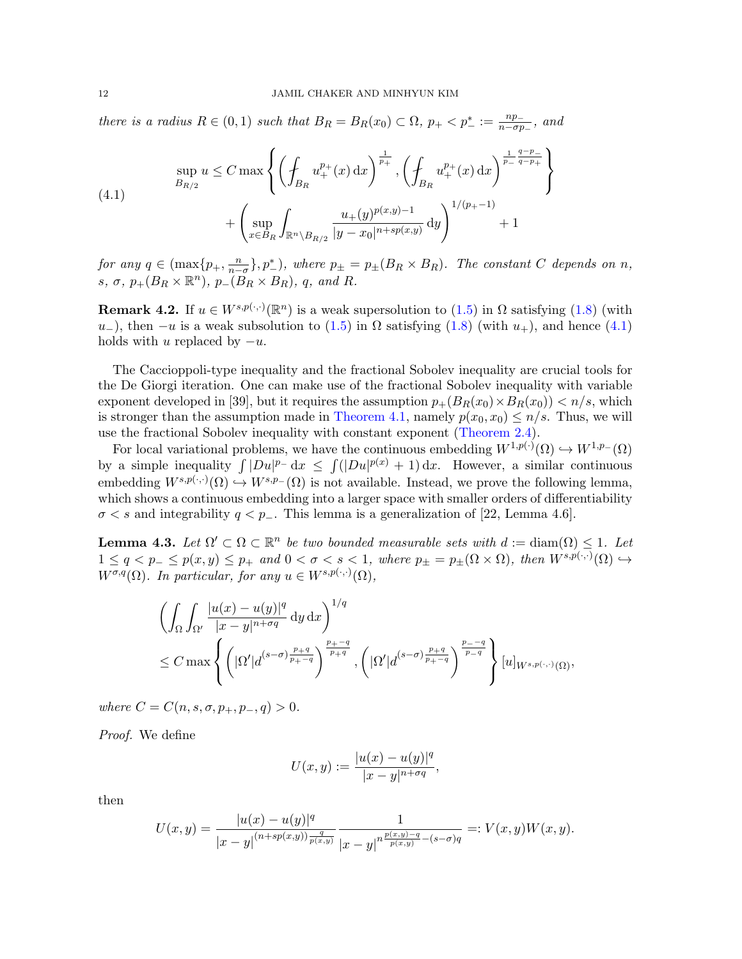there is a radius  $R \in (0,1)$  such that  $B_R = B_R(x_0) \subset \Omega$ ,  $p_+ < p_-^* := \frac{np_-}{n - \sigma p}$  $\frac{np_-}{n-\sigma p_-}$ , and

<span id="page-11-0"></span>(4.1) 
$$
\sup_{B_{R/2}} u \leq C \max \left\{ \left( \int_{B_R} u_+^{p_+}(x) dx \right)^{\frac{1}{p_+}}, \left( \int_{B_R} u_+^{p_+}(x) dx \right)^{\frac{1}{p_-} \frac{q-p_-}{q-p_+}} \right\} + \left( \sup_{x \in B_R} \int_{\mathbb{R}^n \setminus B_{R/2}} \frac{u_+(y)^{p(x,y)-1}}{|y-x_0|^{n+sp(x,y)}} dy \right)^{1/(p_+-1)} + 1
$$

for any  $q \in (\max\{p_+,\frac{n}{n-\sigma}\},p^*_-),$  where  $p_{\pm} = p_{\pm}(B_R \times B_R)$ . The constant C depends on n, s,  $\sigma$ ,  $p_+(B_R \times \mathbb{R}^n)$ ,  $p_-(B_R \times B_R)$ , q, and R.

**Remark 4.2.** If  $u \in W^{s,p(\cdot,\cdot)}(\mathbb{R}^n)$  is a weak supersolution to  $(1.5)$  in  $\Omega$  satisfying  $(1.8)$  (with  $u$ −), then −u is a weak subsolution to [\(1.5\)](#page-1-1) in  $\Omega$  satisfying [\(1.8\)](#page-4-0) (with  $u_+$ ), and hence [\(4.1\)](#page-11-0) holds with u replaced by  $-u$ .

The Caccioppoli-type inequality and the fractional Sobolev inequality are crucial tools for the De Giorgi iteration. One can make use of the fractional Sobolev inequality with variable exponent developed in [\[39\]](#page-27-17), but it requires the assumption  $p_{+}(B_{R}(x_0) \times B_{R}(x_0)) < n/s$ , which is stronger than the assumption made in [Theorem 4.1,](#page-10-0) namely  $p(x_0, x_0) \leq n/s$ . Thus, we will use the fractional Sobolev inequality with constant exponent [\(Theorem 2.4\)](#page-7-3).

For local variational problems, we have the continuous embedding  $W^{1,p(\cdot)}(\Omega) \hookrightarrow W^{1,p}(\Omega)$ by a simple inequality  $\int |Du|^{p_-} dx \leq \int (|Du|^{p(x)} + 1) dx$ . However, a similar continuous embedding  $W^{s,p(\cdot,\cdot)}(\Omega) \hookrightarrow W^{s,p-}(\Omega)$  is not available. Instead, we prove the following lemma, which shows a continuous embedding into a larger space with smaller orders of differentiability  $\sigma < s$  and integrability  $q < p_-\$ . This lemma is a generalization of [\[22,](#page-26-9) Lemma 4.6].

<span id="page-11-1"></span>**Lemma 4.3.** Let  $\Omega' \subset \Omega \subset \mathbb{R}^n$  be two bounded measurable sets with  $d := \text{diam}(\Omega) \leq 1$ . Let  $1 \le q < p_- \le p(x, y) \le p_+$  and  $0 < \sigma < s < 1$ , where  $p_{\pm} = p_{\pm}(\Omega \times \Omega)$ , then  $W^{s,p(\cdot,\cdot)}(\Omega) \hookrightarrow$  $W^{\sigma,q}(\Omega)$ . In particular, for any  $u \in W^{s,p(\cdot,\cdot)}(\Omega)$ ,

$$
\left(\int_{\Omega}\int_{\Omega'}\frac{|u(x)-u(y)|^q}{|x-y|^{n+\sigma q}}\,dy\,dx\right)^{1/q}\n\leq C \max \left\{ \left(|\Omega'|d^{(s-\sigma)\frac{p+q}{p+\sigma q}}\right)^{\frac{p}{p+q}}, \left(|\Omega'|d^{(s-\sigma)\frac{p+q}{p+\sigma q}}\right)^{\frac{p_{-}-q}{p_{-q}}} \right\} [u]_{W^{s,p(\cdot,\cdot)}(\Omega)},
$$

where  $C = C(n, s, \sigma, p_+, p_-, q) > 0.$ 

Proof. We define

$$
U(x,y) := \frac{|u(x) - u(y)|^q}{|x - y|^{n + \sigma q}},
$$

then

$$
U(x,y) = \frac{|u(x) - u(y)|^q}{|x - y|^{(n+sp(x,y))\frac{q}{p(x,y)}}} \frac{1}{|x - y|^{n\frac{p(x,y) - q}{p(x,y)} - (s - \sigma)q}} =: V(x,y)W(x,y).
$$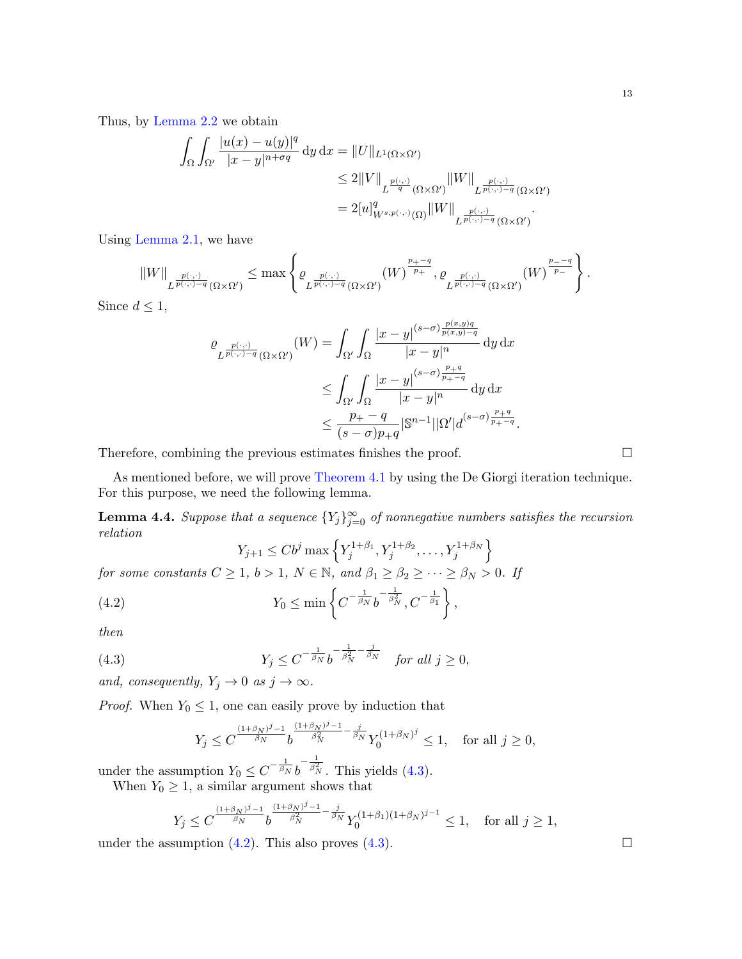Thus, by [Lemma 2.2](#page-5-1) we obtain

$$
\int_{\Omega} \int_{\Omega'} \frac{|u(x) - u(y)|^q}{|x - y|^{n + \sigma q}} dy dx = ||U||_{L^1(\Omega \times \Omega')}
$$
  
\n
$$
\leq 2||V||_{L^{\frac{p(\cdot, \cdot)}{q}}(\Omega \times \Omega')} ||W||_{L^{\frac{p(\cdot, \cdot)}{p(\cdot, \cdot) - q}}(\Omega \times \Omega')}
$$
  
\n
$$
= 2[u]_{W^{s, p(\cdot, \cdot)}(\Omega)}^q ||W||_{L^{\frac{p(\cdot, \cdot)}{p(\cdot, \cdot) - q}}(\Omega \times \Omega')}
$$

Using [Lemma 2.1,](#page-5-2) we have

$$
||W||_{L^{\frac{p(\cdot,\cdot)}{p(\cdot,\cdot)-q}}(\Omega\times\Omega')} \leq \max\left\{\varrho_{L^{\frac{p(\cdot,\cdot)}{p(\cdot,\cdot)-q}}(\Omega\times\Omega')}(W)^{\frac{p_{+}-q}{p_{+}}},\varrho_{L^{\frac{p(\cdot,\cdot)}{p(\cdot,\cdot)-q}}(\Omega\times\Omega')}(W)^{\frac{p_{-}-q}{p_{-}}}\right\}.
$$

Since  $d \leq 1$ ,

$$
\begin{split} \varrho_{L^{\frac{p(\cdot,\cdot)}{p(\cdot,\cdot)-q}}(\Omega\times\Omega')}(W) & = \int_{\Omega'}\int_{\Omega}\frac{|x-y|^{(s-\sigma)\frac{p(x,y)q}{p(x,y)-q}}}{|x-y|^{n}}\,\mathrm{d}y\,\mathrm{d}x\\ & \leq \int_{\Omega'}\int_{\Omega}\frac{|x-y|^{(s-\sigma)\frac{p+q}{p+\lnot q}}}{|x-y|^{n}}\,\mathrm{d}y\,\mathrm{d}x\\ & \leq \frac{p_{+}-q}{(s-\sigma)p_{+}q}|\mathbb{S}^{n-1}||\Omega'|d^{(s-\sigma)\frac{p+q}{p_{+}-q}}. \end{split}
$$

Therefore, combining the previous estimates finishes the proof.

As mentioned before, we will prove [Theorem 4.1](#page-10-0) by using the De Giorgi iteration technique. For this purpose, we need the following lemma.

<span id="page-12-2"></span>**Lemma 4.4.** Suppose that a sequence  ${Y_j}_{j=0}^{\infty}$  of nonnegative numbers satisfies the recursion relation

<span id="page-12-1"></span>
$$
Y_{j+1} \le Cb^j \max \left\{ Y_j^{1+\beta_1}, Y_j^{1+\beta_2}, \dots, Y_j^{1+\beta_N} \right\}
$$

for some constants  $C \ge 1$ ,  $b > 1$ ,  $N \in \mathbb{N}$ , and  $\beta_1 \ge \beta_2 \ge \cdots \ge \beta_N > 0$ . If

(4.2) 
$$
Y_0 \leq \min \left\{ C^{-\frac{1}{\beta_N}} b^{-\frac{1}{\beta_N^2}}, C^{-\frac{1}{\beta_1}} \right\},
$$

then

(4.3) 
$$
Y_j \leq C^{-\frac{1}{\beta_N}} b^{-\frac{1}{\beta_N} - \frac{j}{\beta_N}} \quad \text{for all } j \geq 0,
$$

and, consequently,  $Y_j \to 0$  as  $j \to \infty$ .

*Proof.* When  $Y_0 \leq 1$ , one can easily prove by induction that

<span id="page-12-0"></span>
$$
Y_j \leq C^{\frac{(1+\beta_N)^j-1}{\beta_N}} b^{\frac{(1+\beta_N)^j-1}{\beta_N^2} - \frac{j}{\beta_N}} Y_0^{(1+\beta_N)^j} \leq 1, \quad \text{for all } j \geq 0,
$$

under the assumption  $Y_0 \leq C^{-\frac{1}{\beta_N}} b$  $-\frac{1}{\beta_N^2}$ . This yields [\(4.3\)](#page-12-0). When  $Y_0 \geq 1$ , a similar argument shows that

$$
Y_j \leq C^{\frac{(1+\beta_N)^j-1}{\beta_N}} b^{\frac{(1+\beta_N)^j-1}{\beta_N^2} - \frac{j}{\beta_N}} Y_0^{(1+\beta_1)(1+\beta_N)^{j-1}} \leq 1, \quad \text{for all } j \geq 1,
$$

under the assumption  $(4.2)$ . This also proves  $(4.3)$ .

13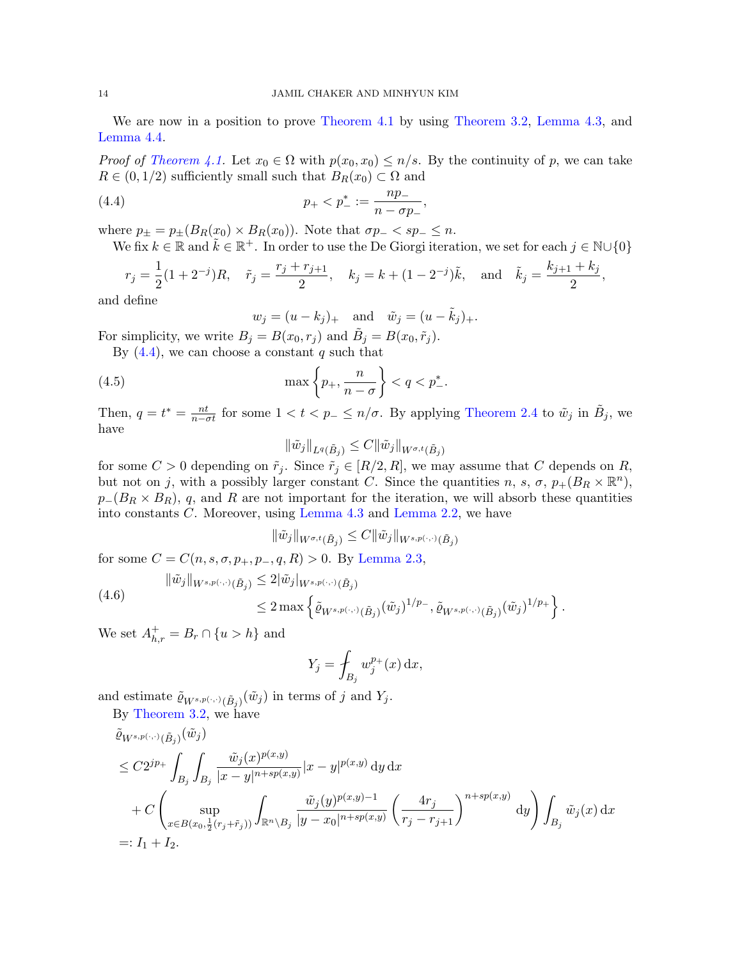We are now in a position to prove [Theorem 4.1](#page-10-0) by using [Theorem 3.2,](#page-7-1) [Lemma 4.3,](#page-11-1) and [Lemma 4.4.](#page-12-2)

*Proof of [Theorem 4.1.](#page-10-0)* Let  $x_0 \in \Omega$  with  $p(x_0, x_0) \leq n/s$ . By the continuity of p, we can take  $R \in (0, 1/2)$  sufficiently small such that  $B_R(x_0) \subset \Omega$  and

(4.4) 
$$
p_+ < p_-^* := \frac{np_-}{n - \sigma p_-},
$$

where  $p_{\pm} = p_{\pm}(B_R(x_0) \times B_R(x_0))$ . Note that  $\sigma p_{-} < sp_{-} \leq n$ .

We fix  $k \in \mathbb{R}$  and  $\tilde{k} \in \mathbb{R}^+$ . In order to use the De Giorgi iteration, we set for each  $j \in \mathbb{N} \cup \{0\}$ 

$$
r_j = \frac{1}{2}(1+2^{-j})R
$$
,  $\tilde{r}_j = \frac{r_j + r_{j+1}}{2}$ ,  $k_j = k + (1-2^{-j})\tilde{k}$ , and  $\tilde{k}_j = \frac{k_{j+1} + k_j}{2}$ ,

and define

<span id="page-13-1"></span><span id="page-13-0"></span>
$$
w_j = (u - k_j)_+
$$
 and  $\tilde{w}_j = (u - \tilde{k}_j)_+.$ 

For simplicity, we write  $B_j = B(x_0, r_j)$  and  $\tilde{B}_j = B(x_0, \tilde{r}_j)$ .

By  $(4.4)$ , we can choose a constant q such that

(4.5) 
$$
\max\left\{p_+,\frac{n}{n-\sigma}\right\} < q < p^*_-.
$$

Then,  $q = t^* = \frac{nt}{n-\sigma t}$  for some  $1 < t < p_- \le n/\sigma$ . By applying [Theorem 2.4](#page-7-3) to  $\tilde{w}_j$  in  $\tilde{B}_j$ , we have

 $\|\tilde{w}_j\|_{L^q(\tilde{B}_j)} \leq C \|\tilde{w}_j\|_{W^{\sigma,t}(\tilde{B}_j)}$ 

for some  $C > 0$  depending on  $\tilde{r}_j$ . Since  $\tilde{r}_j \in [R/2, R]$ , we may assume that C depends on R, but not on j, with a possibly larger constant C. Since the quantities n, s,  $\sigma$ ,  $p_+(B_R \times \mathbb{R}^n)$ ,  $p_-(B_R \times B_R)$ , q, and R are not important for the iteration, we will absorb these quantities into constants C. Moreover, using [Lemma 4.3](#page-11-1) and [Lemma 2.2,](#page-5-1) we have

$$
\|\tilde{w}_j\|_{W^{\sigma,t}(\tilde{B}_j)} \leq C \|\tilde{w}_j\|_{W^{s,p(\cdot,\cdot)}(\tilde{B}_j)}
$$

for some  $C = C(n, s, \sigma, p_+, p_-, q, R) > 0$ . By [Lemma 2.3,](#page-6-1)

<span id="page-13-2"></span>
$$
\|\tilde{w}_j\|_{W^{s,p(\cdot,\cdot)}(\tilde{B}_j)} \leq 2|\tilde{w}_j|_{W^{s,p(\cdot,\cdot)}(\tilde{B}_j)}
$$
  

$$
\leq 2 \max \left\{ \tilde{\varrho}_{W^{s,p(\cdot,\cdot)}(\tilde{B}_j)} (\tilde{w}_j)^{1/p_{-}}, \tilde{\varrho}_{W^{s,p(\cdot,\cdot)}(\tilde{B}_j)} (\tilde{w}_j)^{1/p_{+}} \right\}.
$$

We set  $A_{h,r}^+ = B_r \cap \{u > h\}$  and

$$
Y_j = \oint_{B_j} w_j^{p_+}(x) \, \mathrm{d}x,
$$

and estimate  $\tilde{\varrho}_{W^{s,p(\cdot,\cdot)}(\tilde{B}_j)}(\tilde{w}_j)$  in terms of j and  $Y_j$ .

By [Theorem 3.2,](#page-7-1) we have

$$
\tilde{\varrho}_{W^{s,p(\cdot,\cdot)}(\tilde{B}_{j})}(\tilde{w}_{j})\n\leq C2^{jp_{+}} \int_{B_{j}} \int_{B_{j}} \frac{\tilde{w}_{j}(x)^{p(x,y)}}{|x-y|^{n+sp(x,y)}} |x-y|^{p(x,y)} \, dy \, dx\n+ C \left( \sup_{x \in B(x_{0}, \frac{1}{2}(r_{j}+\tilde{r}_{j}))} \int_{\mathbb{R}^{n} \setminus B_{j}} \frac{\tilde{w}_{j}(y)^{p(x,y)-1}}{|y-x_{0}|^{n+sp(x,y)}} \left( \frac{4r_{j}}{r_{j}-r_{j+1}} \right)^{n+sp(x,y)} \, dy \right) \int_{B_{j}} \tilde{w}_{j}(x) \, dx
$$
\n=:  $I_{1} + I_{2}$ .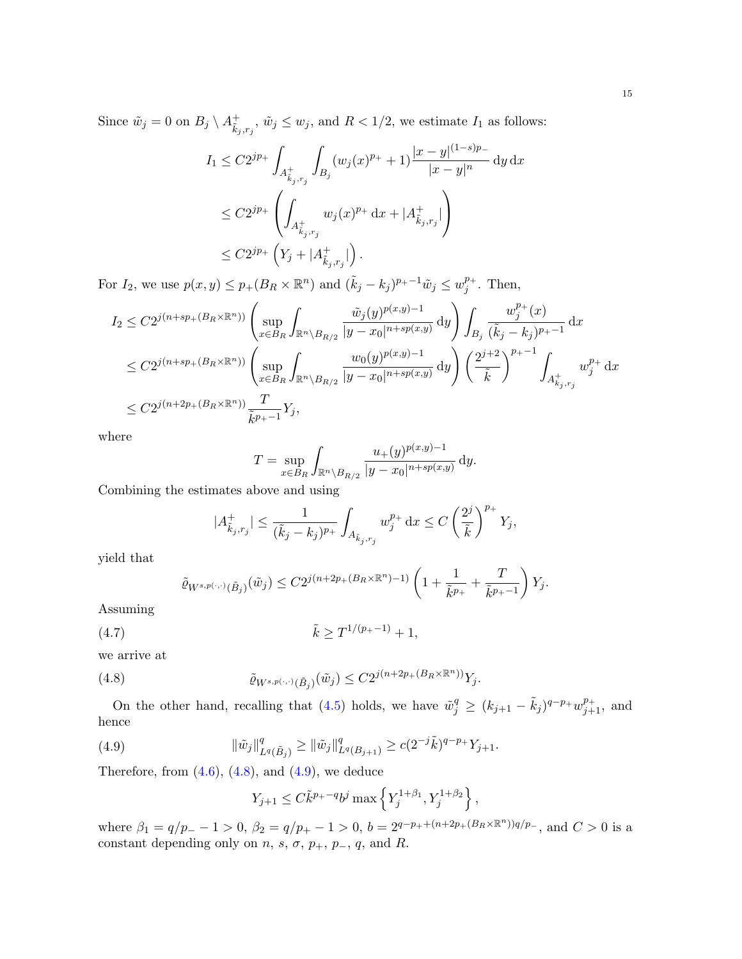Since  $\tilde{w}_j = 0$  on  $B_j \setminus A^+_{\tilde{k}_j,r_j}, \tilde{w}_j \leq w_j$ , and  $R < 1/2$ , we estimate  $I_1$  as follows:

$$
I_1 \leq C2^{jp_+} \int_{A^+_{\tilde{k}_j,r_j}} \int_{B_j} (w_j(x)^{p_+} + 1) \frac{|x - y|^{(1-s)p_-}}{|x - y|^n} \, \mathrm{d}y \, \mathrm{d}x
$$
  

$$
\leq C2^{jp_+} \left( \int_{A^+_{\tilde{k}_j,r_j}} w_j(x)^{p_+} \, \mathrm{d}x + |A^+_{\tilde{k}_j,r_j}| \right)
$$
  

$$
\leq C2^{jp_+} \left( Y_j + |A^+_{\tilde{k}_j,r_j}| \right).
$$

For  $I_2$ , we use  $p(x, y) \leq p_+(B_R \times \mathbb{R}^n)$  and  $(\tilde{k}_j - k_j)^{p_+ - 1} \tilde{w}_j \leq w_j^{p_+}$  $j^{p_+}$ . Then,

$$
I_2 \leq C2^{j(n+sp_{+}(B_R \times \mathbb{R}^n))} \left( \sup_{x \in B_R} \int_{\mathbb{R}^n \setminus B_{R/2}} \frac{\tilde{w}_j(y)^{p(x,y)-1}}{|y-x_0|^{n+sp(x,y)}} dy \right) \int_{B_j} \frac{w_j^{p_+}(x)}{(\tilde{k}_j - k_j)^{p_+-1}} dx
$$
  
\n
$$
\leq C2^{j(n+sp_{+}(B_R \times \mathbb{R}^n))} \left( \sup_{x \in B_R} \int_{\mathbb{R}^n \setminus B_{R/2}} \frac{w_0(y)^{p(x,y)-1}}{|y-x_0|^{n+sp(x,y)}} dy \right) \left( \frac{2^{j+2}}{\tilde{k}} \right)^{p_+-1} \int_{A_{k_j,r_j}^+} w_j^{p_+} dx
$$
  
\n
$$
\leq C2^{j(n+2p_{+}(B_R \times \mathbb{R}^n))} \frac{T}{\tilde{k}^{p_+-1}} Y_j,
$$

where

$$
T = \sup_{x \in B_R} \int_{\mathbb{R}^n \setminus B_{R/2}} \frac{u_+(y)^{p(x,y)-1}}{|y - x_0|^{n+sp(x,y)}} \, dy.
$$

Combining the estimates above and using

$$
|A^+_{\tilde k_j,r_j}|\leq \frac{1}{(\tilde k_j-k_j)^{p_+}}\int_{A_{\tilde k_j,r_j}} w_j^{p_+}\,\mathrm{d} x\leq C\left(\frac{2^j}{\tilde k}\right)^{p_+}Y_j,
$$

yield that

<span id="page-14-2"></span>
$$
\tilde{\varrho}_{W^{s,p(\cdot,\cdot)}(\tilde{B}_{j})}(\tilde{w}_{j})\leq C2^{j(n+2p_{+}(B_{R}\times\mathbb{R}^{n})-1)}\left(1+\frac{1}{\tilde{k}^{p_{+}}}+\frac{T}{\tilde{k}^{p_{+}-1}}\right)Y_{j}.
$$

Assuming

$$
(4.7) \t\t\t \tilde{k} \ge T^{1/(p_{+}-1)} + 1,
$$

we arrive at

(4.8) 
$$
\tilde{\varrho}_{W^{s,p(\cdot,\cdot)}(\tilde{B}_j)}(\tilde{w}_j) \leq C2^{j(n+2p_+(B_R \times \mathbb{R}^n))} Y_j.
$$

On the other hand, recalling that [\(4.5\)](#page-13-1) holds, we have  $\tilde{w}_j^q \ge (k_{j+1} - \tilde{k}_j)^{q-p_+} w_{j+1}^{p_+}$ , and hence

<span id="page-14-1"></span>(4.9) 
$$
\|\tilde{w}_j\|_{L^q(\tilde{B}_j)}^q \ge \|\tilde{w}_j\|_{L^q(B_{j+1})}^q \ge c(2^{-j}\tilde{k})^{q-p_+}Y_{j+1}.
$$

Therefore, from  $(4.6)$ ,  $(4.8)$ , and  $(4.9)$ , we deduce

<span id="page-14-0"></span>
$$
Y_{j+1} \leq C \tilde{k}^{p_{+} - q} b^{j} \max \left\{ Y_{j}^{1 + \beta_{1}}, Y_{j}^{1 + \beta_{2}} \right\},\,
$$

where  $\beta_1 = q/p_ - - 1 > 0$ ,  $\beta_2 = q/p_ + - 1 > 0$ ,  $b = 2^{q-p_+ + (n+2p_+(B_R \times \mathbb{R}^n))q/p_-}$ , and  $C > 0$  is a constant depending only on  $n, s, \sigma, p_+, p_-, q$ , and R.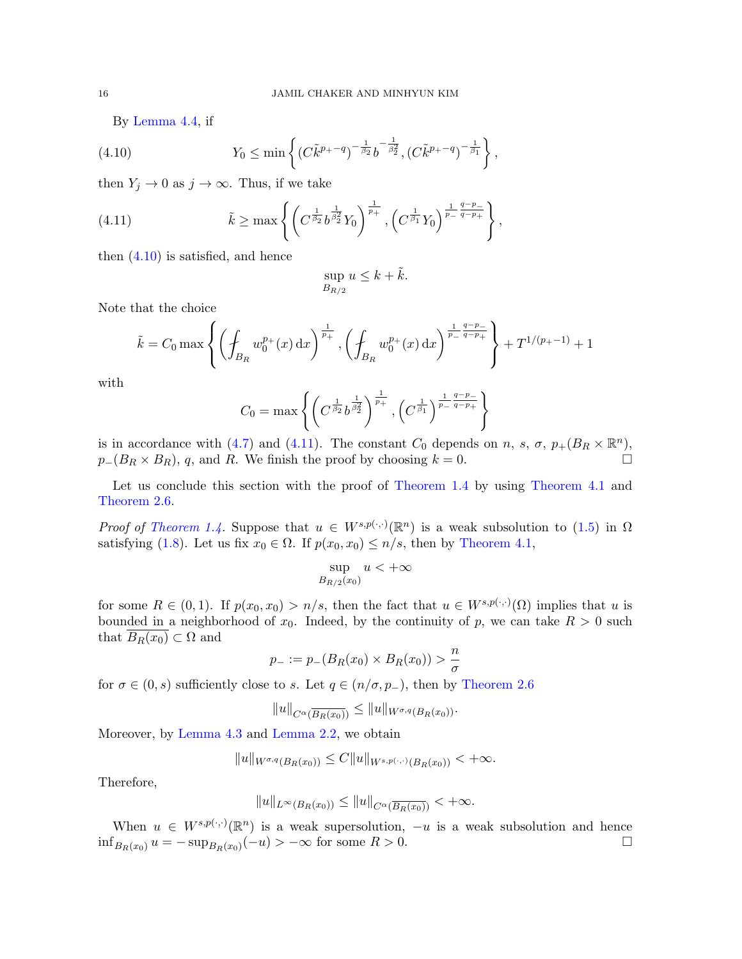,

<span id="page-15-0"></span>By [Lemma 4.4,](#page-12-2) if

(4.10) 
$$
Y_0 \leq \min \left\{ (C\tilde{k}^{p_+ - q})^{-\frac{1}{\beta_2}} b^{-\frac{1}{\beta_2^2}}, (C\tilde{k}^{p_+ - q})^{-\frac{1}{\beta_1}} \right\}
$$

then  $Y_j \to 0$  as  $j \to \infty$ . Thus, if we take

(4.11) 
$$
\tilde{k} \ge \max \left\{ \left( C^{\frac{1}{\beta_2}} b^{\frac{1}{\beta_2^2}} Y_0 \right)^{\frac{1}{p_+}}, \left( C^{\frac{1}{\beta_1}} Y_0 \right)^{\frac{1}{p_-} \frac{q-p_-}{q-p_+}} \right\},
$$

then [\(4.10\)](#page-15-0) is satisfied, and hence

<span id="page-15-1"></span>
$$
\sup_{B_{R/2}} u \le k + \tilde{k}.
$$

Note that the choice

$$
\tilde{k} = C_0 \max \left\{ \left( \oint_{B_R} w_0^{p_+}(x) dx \right)^{\frac{1}{p_+}}, \left( \oint_{B_R} w_0^{p_+}(x) dx \right)^{\frac{1}{p_-} \frac{q-p_-}{q-p_+}} \right\} + T^{1/(p_+-1)} + 1
$$

with

$$
C_0 = \max \left\{ \left( C^{\frac{1}{\beta_2}} b^{\frac{1}{\beta_2^2}} \right)^{\frac{1}{p_+}}, \left( C^{\frac{1}{\beta_1}} \right)^{\frac{1}{p_-} \frac{q-p_-}{q-p_+}} \right\}
$$

is in accordance with [\(4.7\)](#page-14-2) and [\(4.11\)](#page-15-1). The constant  $C_0$  depends on n, s,  $\sigma$ ,  $p_+(B_R \times \mathbb{R}^n)$ ,  $p_{-}(B_R \times B_R)$ , q, and R. We finish the proof by choosing  $k = 0$ .

Let us conclude this section with the proof of [Theorem 1.4](#page-3-0) by using [Theorem 4.1](#page-10-0) and [Theorem 2.6.](#page-7-2)

*Proof of [Theorem 1.4.](#page-3-0)* Suppose that  $u \in W^{s,p(\cdot,\cdot)}(\mathbb{R}^n)$  is a weak subsolution to [\(1.5\)](#page-1-1) in  $\Omega$ satisfying [\(1.8\)](#page-4-0). Let us fix  $x_0 \in \Omega$ . If  $p(x_0, x_0) \leq n/s$ , then by [Theorem 4.1,](#page-10-0)

$$
\sup_{B_{R/2}(x_0)} u < +\infty
$$

for some  $R \in (0,1)$ . If  $p(x_0, x_0) > n/s$ , then the fact that  $u \in W^{s,p(\cdot,\cdot)}(\Omega)$  implies that u is bounded in a neighborhood of  $x_0$ . Indeed, by the continuity of p, we can take  $R > 0$  such that  $B_R(x_0) \subset \Omega$  and

$$
p_{-} := p_{-}(B_{R}(x_{0}) \times B_{R}(x_{0})) > \frac{n}{\sigma}
$$

for  $\sigma \in (0, s)$  sufficiently close to s. Let  $q \in (n/\sigma, p_-)$ , then by [Theorem 2.6](#page-7-2)

$$
||u||_{C^{\alpha}(\overline{B_R(x_0)})} \leq ||u||_{W^{\sigma,q}(B_R(x_0))}.
$$

Moreover, by [Lemma 4.3](#page-11-1) and [Lemma 2.2,](#page-5-1) we obtain

 $||u||_{W^{\sigma,q}(B_R(x_0))} \leq C||u||_{W^{s,p(\cdot,\cdot)}(B_R(x_0))} < +\infty.$ 

Therefore,

$$
||u||_{L^{\infty}(B_R(x_0))} \leq ||u||_{C^{\alpha}(\overline{B_R(x_0)})} < +\infty.
$$

When  $u \in W^{s,p(\cdot,\cdot)}(\mathbb{R}^n)$  is a weak supersolution,  $-u$  is a weak subsolution and hence  $\inf_{B_R(x_0)} u = -\sup_{B_R(x_0)} (-u) > -\infty$  for some  $R > 0$ .  $\Box$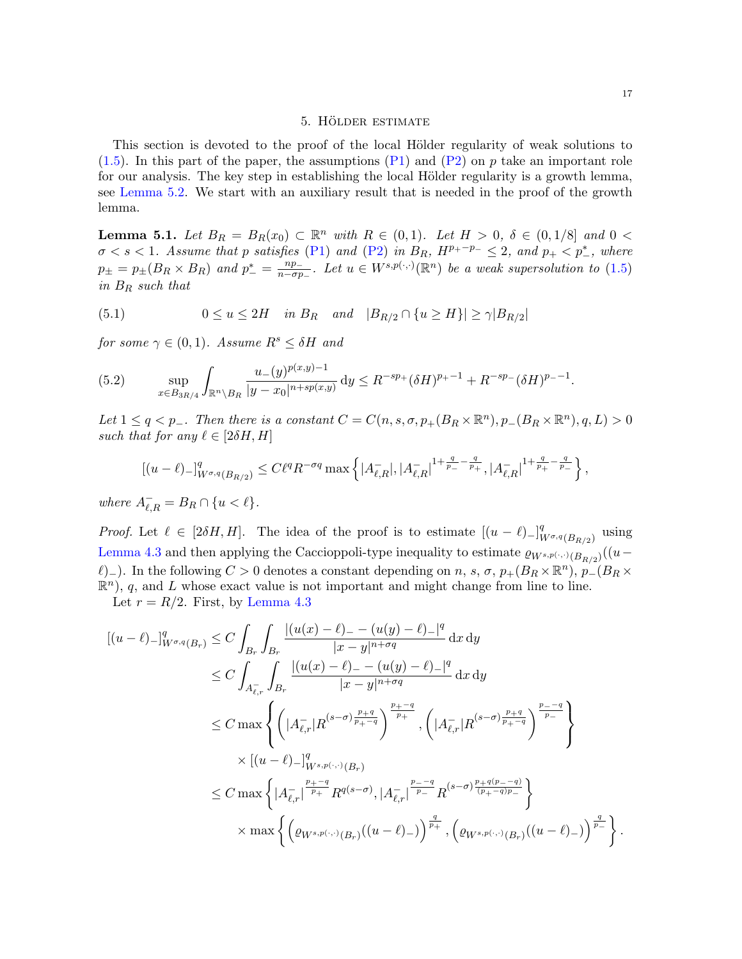## 5. HÖLDER ESTIMATE

<span id="page-16-0"></span>This section is devoted to the proof of the local Hölder regularity of weak solutions to  $(1.5)$ . In this part of the paper, the assumptions  $(P1)$  and  $(P2)$  on p take an important role for our analysis. The key step in establishing the local Hölder regularity is a growth lemma, see [Lemma 5.2.](#page-18-0) We start with an auxiliary result that is needed in the proof of the growth lemma.

<span id="page-16-3"></span>**Lemma 5.1.** Let  $B_R = B_R(x_0) \subset \mathbb{R}^n$  with  $R \in (0,1)$ . Let  $H > 0$ ,  $\delta \in (0,1/8]$  and  $0 <$  $\sigma < s < 1$ . Assume that p satisfies [\(P1\)](#page-1-2) and [\(P2\)](#page-2-0) in  $B_R$ ,  $H^{p_+ - p_-} \leq 2$ , and  $p_+ < p_-^*$ , where  $p_{\pm} = p_{\pm}(B_R \times B_R)$  and  $p_{-}^* = \frac{np_{-}}{n - \sigma p}$  $\frac{np_-}{n-\sigma p_-}$ . Let  $u \in W^{s,p(\cdot,\cdot)}(\mathbb{R}^n)$  be a weak supersolution to  $(1.5)$ in B<sup>R</sup> such that

<span id="page-16-2"></span>(5.1) 
$$
0 \le u \le 2H
$$
 in  $B_R$  and  $|B_{R/2} \cap \{u \ge H\}| \ge \gamma |B_{R/2}|$ 

for some  $\gamma \in (0,1)$ . Assume  $R^s \leq \delta H$  and

<span id="page-16-1"></span>(5.2) 
$$
\sup_{x \in B_{3R/4}} \int_{\mathbb{R}^n \setminus B_R} \frac{u_-(y)^{p(x,y)-1}}{|y - x_0|^{n+sp(x,y)}} \, dy \le R^{-sp_+} (\delta H)^{p_+-1} + R^{-sp_-} (\delta H)^{p_--1}
$$

Let  $1 \leq q < p_-\$ . Then there is a constant  $C = C(n, s, \sigma, p_+(B_R \times \mathbb{R}^n), p_-(B_R \times \mathbb{R}^n), q, L) > 0$ such that for any  $\ell \in [2\delta H, H]$ 

$$
[(u-\ell)-]_{W^{\sigma,q}(B_{R/2})}^q \le C\ell^q R^{-\sigma q} \max\left\{|A_{\ell,R}^-,|A_{\ell,R}^-|^{1+\frac{q}{p_-}-\frac{q}{p_+}},|A_{\ell,R}^-|^{1+\frac{q}{p_+}-\frac{q}{p_-}}\right\},\,
$$

where  $A_{\ell,R}^- = B_R \cap \{u < \ell\}.$ 

*Proof.* Let  $\ell \in [2\delta H, H]$ . The idea of the proof is to estimate  $[(u - \ell)_{-}]_{V}^{q}$  $^q_{W^{\sigma,q}(B_{R/2})}$  using [Lemma 4.3](#page-11-1) and then applying the Caccioppoli-type inequality to estimate  $\varrho_{W^{s,p(\cdot,\cdot)}(B_{R/2})}((u-\tau))$  $\ell$ )<sub>−</sub>). In the following C > 0 denotes a constant depending on n, s,  $\sigma$ ,  $p_+(B_R \times \mathbb{R}^n)$ ,  $p_-(B_R \times \mathbb{R}^n)$  $\mathbb{R}^n$ , q, and L whose exact value is not important and might change from line to line.

Let  $r = R/2$ . First, by [Lemma 4.3](#page-11-1)

$$
[(u - \ell)-]_{W^{\sigma,q}(B_r)}^q \leq C \int_{B_r} \int_{B_r} \frac{|(u(x) - \ell) - (u(y) - \ell) - |^q}{|x - y|^{n + \sigma q}} dx dy
$$
  
\n
$$
\leq C \int_{A_{\ell,r}} \int_{B_r} \frac{|(u(x) - \ell) - (u(y) - \ell) - |^q}{|x - y|^{n + \sigma q}} dx dy
$$
  
\n
$$
\leq C \max \left\{ \left( |A_{\ell,r}^-| R^{(s - \sigma) \frac{p + q}{p + - q}} \right)^{\frac{p + - q}{p +}} , \left( |A_{\ell,r}^-| R^{(s - \sigma) \frac{p + q}{p + - q}} \right)^{\frac{p - - q}{p -}} \right\}
$$
  
\n
$$
\times [(u - \ell) -]_{W^{s,p(\cdot,\cdot)}(B_r)}^q
$$
  
\n
$$
\leq C \max \left\{ |A_{\ell,r}^-|^{\frac{p + - q}{p +}} R^{q(s - \sigma)}, |A_{\ell,r}^-|^{\frac{p - - q}{p -}} R^{(s - \sigma) \frac{p + q(p - - q)}{(p + - q)p - q}} \right\}
$$
  
\n
$$
\times \max \left\{ \left( \varrho_{W^{s,p(\cdot,\cdot)}(B_r)}((u - \ell) - ) \right)^{\frac{q}{p + 1}}, \left( \varrho_{W^{s,p(\cdot,\cdot)}(B_r)}((u - \ell) - ) \right)^{\frac{q}{p - 1}} \right\}.
$$

.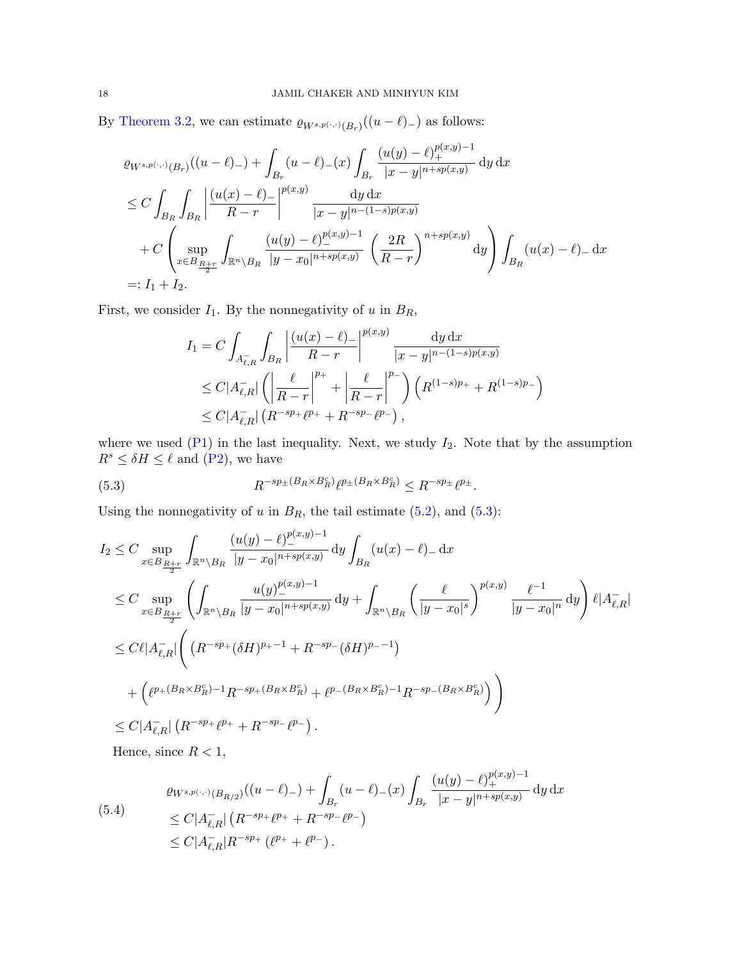By [Theorem 3.2,](#page-7-1) we can estimate  $\varrho_{W^{s,p(\cdot,\cdot)}(B_r)}((u-\ell)_{-})$  as follows:

$$
\varrho_{W^{s,p(\cdot,\cdot)}(B_r)}((u-\ell)_{-}) + \int_{B_r} (u-\ell)_{-}(x) \int_{B_r} \frac{(u(y)-\ell)_{+}^{p(x,y)-1}}{|x-y|^{n+sp(x,y)}} \, \mathrm{d}y \, \mathrm{d}x
$$
\n
$$
\leq C \int_{B_R} \int_{B_R} \left| \frac{(u(x)-\ell)_{-}}{R-r} \right|^{p(x,y)} \frac{\, \mathrm{d}y \, \mathrm{d}x}{|x-y|^{n-(1-s)p(x,y)}} \, \mathrm{d}y \, \mathrm{d}x + C \left( \sup_{x \in B_{\frac{R+r}{2}}} \int_{\mathbb{R}^n \setminus B_R} \frac{(u(y)-\ell)_{-}^{p(x,y)-1}}{|y-x_0|^{n+sp(x,y)}} \left( \frac{2R}{R-r} \right)^{n+sp(x,y)} \, \mathrm{d}y \right) \int_{B_R} (u(x)-\ell)_{-} \, \mathrm{d}x
$$
\n
$$
=: I_1 + I_2.
$$

First, we consider  $I_1$ . By the nonnegativity of u in  $B_R$ ,

$$
I_{1} = C \int_{A_{\ell,R}^{-}} \int_{B_R} \left| \frac{(u(x) - \ell)_{-}}{R - r} \right|^{p(x,y)} \frac{dy dx}{|x - y|^{n - (1 - s)p(x,y)}} \n\leq C |A_{\ell,R}^{-}|\left( \left| \frac{\ell}{R - r} \right|^{p_{+}} + \left| \frac{\ell}{R - r} \right|^{p_{-}} \right) \left( R^{(1 - s)p_{+}} + R^{(1 - s)p_{-}} \right) \n\leq C |A_{\ell,R}^{-}|\left( R^{-sp_{+}} \ell^{p_{+}} + R^{-sp_{-}} \ell^{p_{-}} \right),
$$

where we used  $(P1)$  in the last inequality. Next, we study  $I_2$ . Note that by the assumption  $R^s \leq \delta H \leq \ell$  and [\(P2\)](#page-2-0), we have

<span id="page-17-0"></span>(5.3) 
$$
R^{-sp_{\pm}(B_R \times B_R^c)} \ell^{p_{\pm}(B_R \times B_R^c)} \leq R^{-sp_{\pm}} \ell^{p_{\pm}}.
$$

Using the nonnegativity of  $u$  in  $B_R$ , the tail estimate [\(5.2\)](#page-16-1), and [\(5.3\)](#page-17-0):

$$
I_2 \leq C \sup_{x \in B_{\frac{R+r}{2}}} \int_{\mathbb{R}^n \setminus B_R} \frac{(u(y) - \ell)_-^{p(x,y)-1}}{|y - x_0|^{n+sp(x,y)}} \, dy \int_{B_R} (u(x) - \ell)_- \, dx
$$
  
\n
$$
\leq C \sup_{x \in B_{\frac{R+r}{2}}} \left( \int_{\mathbb{R}^n \setminus B_R} \frac{u(y)_-^{p(x,y)-1}}{|y - x_0|^{n+sp(x,y)}} \, dy + \int_{\mathbb{R}^n \setminus B_R} \left( \frac{\ell}{|y - x_0|^s} \right)^{p(x,y)} \frac{\ell^{-1}}{|y - x_0|^n} \, dy \right) \ell |A_{\ell,R}^-|
$$
  
\n
$$
\leq C\ell |A_{\ell,R}^-| \left( (R^{-sp_+}(\delta H)^{p_+-1} + R^{-sp_-}(\delta H)^{p_--1}) + (\ell^{p_+(B_R \times B_R^c) - 1} R^{-sp_+(B_R \times B_R^c)} + \ell^{p_-(B_R \times B_R^c) - 1} R^{-sp_-(B_R \times B_R^c)} \right) \right)
$$
  
\n
$$
\leq C |A_{\ell,R}^-| (R^{-sp_+}\ell^{p_+} + R^{-sp_-}\ell^{p_-}).
$$

Hence, since  $R < 1$ ,

<span id="page-17-1"></span>
$$
(5.4)
$$
\n
$$
\varrho_{W^{s,p(\cdot,\cdot)}(B_{R/2})}((u-\ell)_{-}) + \int_{B_r} (u-\ell)_{-}(x) \int_{B_r} \frac{(u(y)-\ell)_{+}^{p(x,y)-1}}{|x-y|^{n+sp(x,y)}} dy dx
$$
\n
$$
\leq C|A_{\ell,R}^{-}|\left(R^{-sp_{+}}\ell^{p_{+}} + R^{-sp_{-}}\ell^{p_{-}}\right)
$$
\n
$$
\leq C|A_{\ell,R}^{-} |R^{-sp_{+}}(\ell^{p_{+}} + \ell^{p_{-}}).
$$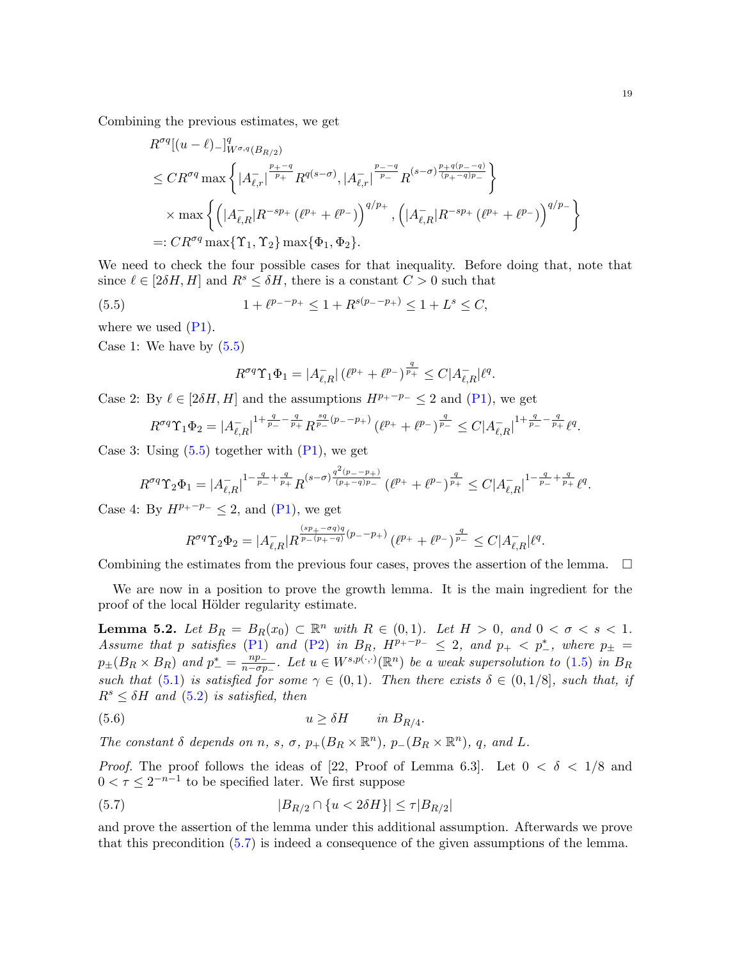Combining the previous estimates, we get

$$
R^{\sigma q}[(u-\ell)_{-}]^q_{W^{\sigma,q}(B_{R/2})}
$$
  
\n
$$
\leq CR^{\sigma q} \max \left\{ |A_{\ell,r}^{-}|^{\frac{p_{+}-q}{p_{+}}} R^{q(s-\sigma)}, |A_{\ell,r}^{-}|^{\frac{p_{-}-q}{p_{-}}} R^{(s-\sigma)\frac{p_{+}q(p_{-}-q)}{(p_{+}-q)p_{-}}} \right\}
$$
  
\n
$$
\times \max \left\{ \left( |A_{\ell,R}^{-}| R^{-sp_{+}} (\ell^{p_{+}} + \ell^{p_{-}}) \right)^{q/p_{+}}, \left( |A_{\ell,R}^{-}| R^{-sp_{+}} (\ell^{p_{+}} + \ell^{p_{-}}) \right)^{q/p_{-}} \right\}
$$
  
\n
$$
=: CR^{\sigma q} \max \{ \Upsilon_1, \Upsilon_2 \} \max \{ \Phi_1, \Phi_2 \}.
$$

We need to check the four possible cases for that inequality. Before doing that, note that since  $\ell \in [2\delta H, H]$  and  $R^s \leq \delta H$ , there is a constant  $C > 0$  such that

(5.5) 
$$
1 + \ell^{p_- - p_+} \le 1 + R^{s(p_- - p_+)} \le 1 + L^s \le C,
$$

where we used  $(P1)$ .

Case 1: We have by  $(5.5)$ 

<span id="page-18-1"></span>
$$
R^{\sigma q} \Upsilon_1 \Phi_1 = |A_{\ell,R}^-| \left( \ell^{p_+} + \ell^{p_-} \right)^{\frac{q_-}{p_+}} \leq C |A_{\ell,R}^-| \ell^q.
$$

Case 2: By  $\ell \in [2\delta H, H]$  and the assumptions  $H^{p_+ - p_-} \leq 2$  and  $(P_1)$ , we get

$$
R^{\sigma q} \Upsilon_1 \Phi_2 = |A_{\ell,R}^-|^{1 + \frac{q}{p_-} - \frac{q}{p_+}} R^{\frac{sq}{p_-}(p_--p_+)} (\ell^{p_+} + \ell^{p_-})^{\frac{q}{p_-}} \leq C |A_{\ell,R}^-|^{1 + \frac{q}{p_-} - \frac{q}{p_+}} \ell^q.
$$

Case 3: Using  $(5.5)$  together with  $(P1)$ , we get

$$
R^{\sigma q} \Upsilon_2 \Phi_1 = |A_{\ell,R}^-|^{1 - \frac{q}{p_-} + \frac{q}{p_+}} R^{(s-\sigma) \frac{q^2(p_--p_+)}{(p_+-q)p_-}} \left( \ell^{p_+} + \ell^{p_-} \right)^{\frac{q}{p_+}} \leq C |A_{\ell,R}^-|^{1 - \frac{q}{p_-} + \frac{q}{p_+}} \ell^q.
$$

Case 4: By  $H^{p_+ - p_-} \leq 2$ , and [\(P1\)](#page-1-2), we get

$$
R^{\sigma q} \Upsilon_2 \Phi_2 = |A_{\ell,R}^-| R^{\frac{(sp_+ - \sigma q)q}{p_-(p_+ - q)}(p_- - p_+)} (\ell^{p_+} + \ell^{p_-})^{\frac{q}{p_-}} \leq C |A_{\ell,R}^-| \ell^q.
$$

Combining the estimates from the previous four cases, proves the assertion of the lemma.  $\Box$ 

We are now in a position to prove the growth lemma. It is the main ingredient for the proof of the local Hölder regularity estimate.

<span id="page-18-0"></span>**Lemma 5.2.** Let  $B_R = B_R(x_0) \subset \mathbb{R}^n$  with  $R \in (0,1)$ . Let  $H > 0$ , and  $0 < \sigma < s < 1$ . Assume that p satisfies [\(P1\)](#page-1-2) and [\(P2\)](#page-2-0) in  $B_R$ ,  $H^{p_+-p_-} \leq 2$ , and  $p_+ < p_-^*$ , where  $p_{\pm} =$  $p_{\pm}(B_R \times B_R)$  and  $p_{-}^* = \frac{np_{-}}{n - \sigma p}$  $\frac{np_-}{n-\sigma p_-}$ . Let  $u \in W^{s,p(\cdot,\cdot)}(\mathbb{R}^n)$  be a weak supersolution to  $(1.5)$  in  $B_R$ such that [\(5.1\)](#page-16-2) is satisfied for some  $\gamma \in (0,1)$ . Then there exists  $\delta \in (0,1/8]$ , such that, if  $R^s \leq \delta H$  and  $(5.2)$  is satisfied, then

<span id="page-18-3"></span>
$$
(5.6) \t\t u \geq \delta H \t\t in B_{R/4}.
$$

The constant  $\delta$  depends on n, s,  $\sigma$ ,  $p_+(B_R \times \mathbb{R}^n)$ ,  $p_-(B_R \times \mathbb{R}^n)$ , q, and L.

*Proof.* The proof follows the ideas of [\[22,](#page-26-9) Proof of Lemma 6.3]. Let  $0 < \delta < 1/8$  and  $0 < \tau \leq 2^{-n-1}$  to be specified later. We first suppose

<span id="page-18-2"></span>(5.7) 
$$
|B_{R/2} \cap \{u < 2\delta H\}| \le \tau |B_{R/2}|
$$

and prove the assertion of the lemma under this additional assumption. Afterwards we prove that this precondition [\(5.7\)](#page-18-2) is indeed a consequence of the given assumptions of the lemma.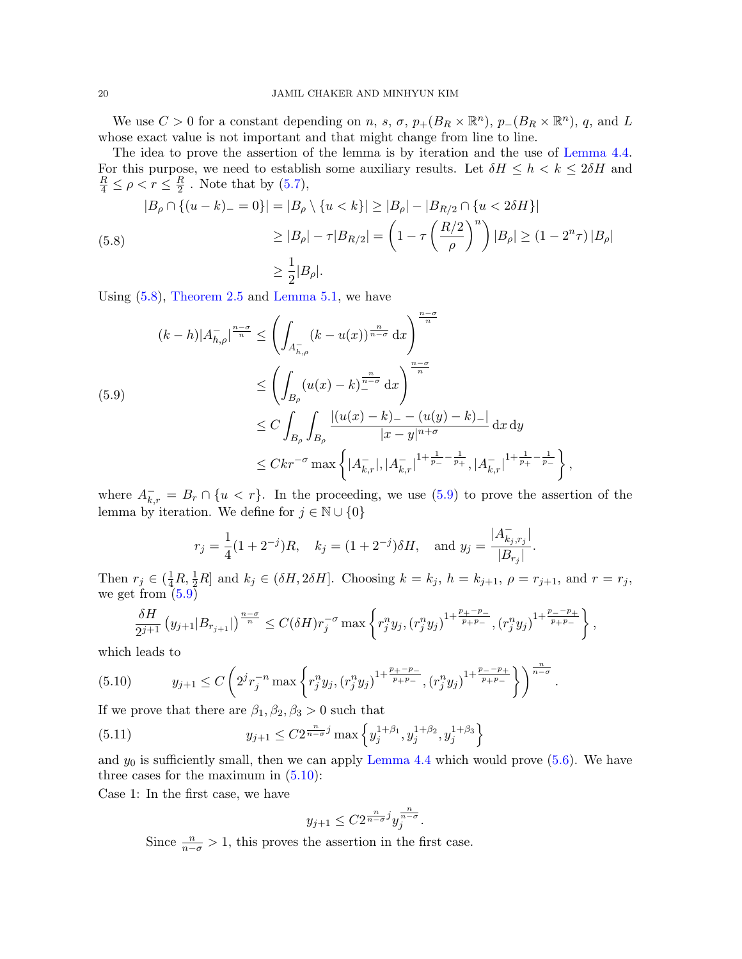We use  $C > 0$  for a constant depending on n, s,  $\sigma$ ,  $p_{+}(B_R \times \mathbb{R}^n)$ ,  $p_{-}(B_R \times \mathbb{R}^n)$ , q, and L whose exact value is not important and that might change from line to line.

The idea to prove the assertion of the lemma is by iteration and the use of [Lemma 4.4.](#page-12-2) For this purpose, we need to establish some auxiliary results. Let  $\delta H \leq h < k \leq 2\delta H$  and  $\frac{R}{4} \leq \rho < r \leq \frac{R}{2}$  $\frac{R}{2}$ . Note that by  $(5.7)$ ,

<span id="page-19-0"></span>
$$
|B_{\rho} \cap \{(u-k)_{-}=0\}| = |B_{\rho} \setminus \{u < k\}| \ge |B_{\rho}| - |B_{R/2} \cap \{u < 2\delta H\}|
$$
  
\n
$$
\ge |B_{\rho}| - \tau |B_{R/2}| = \left(1 - \tau \left(\frac{R/2}{\rho}\right)^{n}\right)|B_{\rho}| \ge (1 - 2^{n}\tau)|B_{\rho}|
$$
  
\n
$$
\ge \frac{1}{2}|B_{\rho}|.
$$

Using [\(5.8\)](#page-19-0), [Theorem 2.5](#page-7-4) and [Lemma 5.1,](#page-16-3) we have

<span id="page-19-1"></span>
$$
(k-h)|A_{h,\rho}^{-}|^{\frac{n-\sigma}{n}} \leq \left(\int_{A_{h,\rho}^{-}} (k-u(x))^{\frac{n}{n-\sigma}} dx\right)^{\frac{n-\sigma}{n}}
$$
  

$$
\leq \left(\int_{B_{\rho}} (u(x)-k)^{\frac{n}{n-\sigma}} dx\right)^{\frac{n-\sigma}{n}}
$$
  

$$
\leq C \int_{B_{\rho}} \int_{B_{\rho}} \frac{|(u(x)-k) - (u(y)-k)|}{|x-y|^{n+\sigma}} dx dy
$$
  

$$
\leq Ckr^{-\sigma} \max\left\{|A_{k,r}^{-}|, |A_{k,r}^{-}|^{1+\frac{1}{p_{-}}-\frac{1}{p_{+}}}, |A_{k,r}^{-}|^{1+\frac{1}{p_{+}}-\frac{1}{p_{-}}}\right\},
$$

where  $A_{k,r}^- = B_r \cap \{u < r\}$ . In the proceeding, we use [\(5.9\)](#page-19-1) to prove the assertion of the lemma by iteration. We define for  $j \in \mathbb{N} \cup \{0\}$ 

$$
r_j = \frac{1}{4}(1+2^{-j})R
$$
,  $k_j = (1+2^{-j})\delta H$ , and  $y_j = \frac{|A_{k_j,r_j}^{-}|}{|B_{r_j}|}$ .

Then  $r_j \in (\frac{1}{4}R, \frac{1}{2}R]$  and  $k_j \in (\delta H, 2\delta H]$ . Choosing  $k = k_j$ ,  $h = k_{j+1}$ ,  $\rho = r_{j+1}$ , and  $r = r_j$ , we get from  $(5.9)$ 

<span id="page-19-2"></span>
$$
\frac{\delta H}{2^{j+1}}\left(y_{j+1}|B_{r_{j+1}}|\right)^{\frac{n-\sigma}{n}} \leq C(\delta H)r_j^{-\sigma} \max\left\{r_j^n y_j, (r_j^n y_j)^{1+\frac{p_+-p_-}{p_+p_-}}, (r_j^n y_j)^{1+\frac{p_--p_+}{p_+p_-}}\right\},\,
$$

which leads to

$$
(5.10) \t y_{j+1} \le C \left( 2^{j} r_j^{-n} \max \left\{ r_j^{n} y_j, (r_j^{n} y_j)^{1 + \frac{p_+ - p_-}{p_+ p_-}}, (r_j^{n} y_j)^{1 + \frac{p_- - p_+}{p_+ p_-}} \right\} \right)^{\frac{n}{n - \sigma}}.
$$

If we prove that there are  $\beta_1, \beta_2, \beta_3 > 0$  such that

(5.11) 
$$
y_{j+1} \leq C2^{\frac{n}{n-\sigma}j} \max\left\{y_j^{1+\beta_1}, y_j^{1+\beta_2}, y_j^{1+\beta_3}\right\}
$$

and  $y_0$  is sufficiently small, then we can apply [Lemma 4.4](#page-12-2) which would prove  $(5.6)$ . We have three cases for the maximum in  $(5.10)$ :

Case 1: In the first case, we have

<span id="page-19-3"></span>
$$
y_{j+1} \leq C2^{\frac{n}{n-\sigma}j} y_j^{\frac{n}{n-\sigma}}.
$$

Since  $\frac{n}{n-\sigma} > 1$ , this proves the assertion in the first case.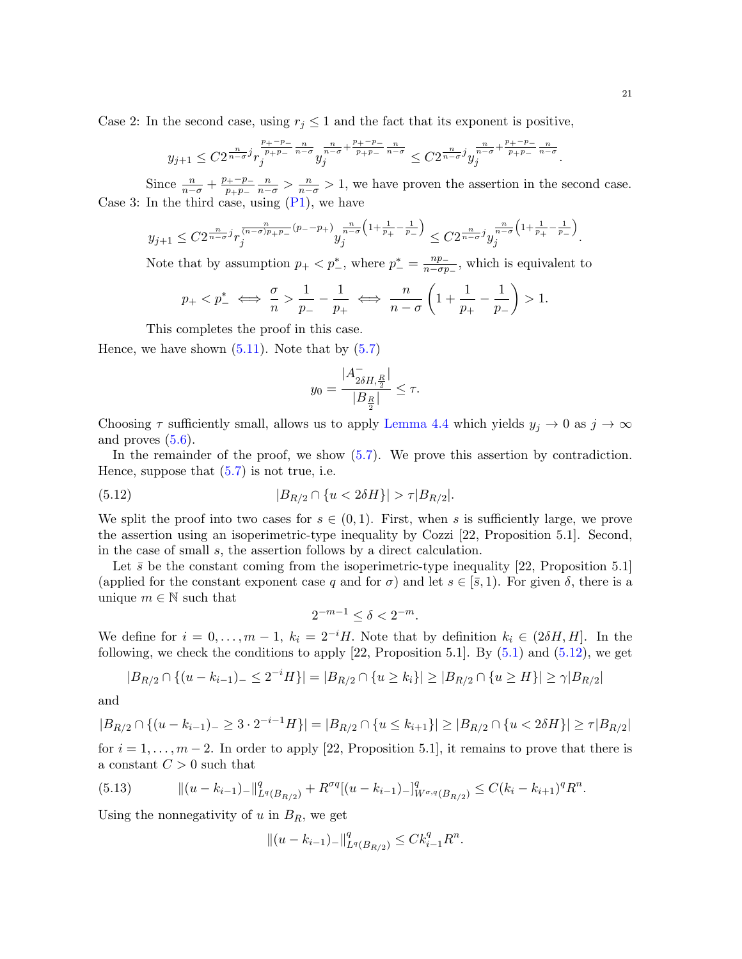Case 2: In the second case, using  $r_j \leq 1$  and the fact that its exponent is positive,

$$
y_{j+1}\leq C2^{\frac{n}{n-\sigma}j}r_j^{\frac{p_+-p_-}{p_+p_-}\frac{n}{n-\sigma}}y_j^{\frac{n}{n-\sigma}+\frac{p_+-p_-}{p_+p_-}\frac{n}{n-\sigma}}\leq C2^{\frac{n}{n-\sigma}j}y_j^{\frac{n}{n-\sigma}+\frac{p_+-p_-}{p_+p_-}\frac{n}{n-\sigma}}
$$

Since  $\frac{n}{n-\sigma} + \frac{p_+ - p_-}{p_+ p_-}$  $\overline{p_+p_-}$  $\frac{n}{n-\sigma} > \frac{n}{n-\sigma} > 1$ , we have proven the assertion in the second case. Case 3: In the third case, using  $(P_1)$ , we have

$$
y_{j+1} \leq C 2^{\frac{n}{n-\sigma}j} r_j^{\frac{n}{(n-\sigma)p_{+}p_{-}}(p_{-}-p_{+})} y_j^{\frac{n}{n-\sigma}\left(1+\frac{1}{p_{+}}-\frac{1}{p_{-}}\right)} \leq C 2^{\frac{n}{n-\sigma}j} y_j^{\frac{n}{n-\sigma}\left(1+\frac{1}{p_{+}}-\frac{1}{p_{-}}\right)}.
$$

Note that by assumption  $p_+ < p_-^*$ , where  $p_-^* = \frac{np_-}{n-\sigma p}$  $\frac{np_-}{n-\sigma p_-}$ , which is equivalent to

$$
p_+ < p_-^* \iff \frac{\sigma}{n} > \frac{1}{p_-} - \frac{1}{p_+} \iff \frac{n}{n-\sigma} \left( 1 + \frac{1}{p_+} - \frac{1}{p_-} \right) > 1.
$$

This completes the proof in this case.

Hence, we have shown  $(5.11)$ . Note that by  $(5.7)$ 

<span id="page-20-0"></span>
$$
y_0 = \frac{|A_{2\delta H, \frac{R}{2}}^-|}{|B_{\frac{R}{2}}|} \le \tau.
$$

Choosing  $\tau$  sufficiently small, allows us to apply [Lemma 4.4](#page-12-2) which yields  $y_j \to 0$  as  $j \to \infty$ and proves  $(5.6)$ .

In the remainder of the proof, we show  $(5.7)$ . We prove this assertion by contradiction. Hence, suppose that  $(5.7)$  is not true, i.e.

(5.12) 
$$
|B_{R/2} \cap \{u < 2\delta H\}| > \tau |B_{R/2}|.
$$

We split the proof into two cases for  $s \in (0,1)$ . First, when s is sufficiently large, we prove the assertion using an isoperimetric-type inequality by Cozzi [\[22,](#page-26-9) Proposition 5.1]. Second, in the case of small s, the assertion follows by a direct calculation.

Let  $\bar{s}$  be the constant coming from the isoperimetric-type inequality [\[22,](#page-26-9) Proposition 5.1] (applied for the constant exponent case q and for  $\sigma$ ) and let  $s \in [\bar{s}, 1)$ . For given  $\delta$ , there is a unique  $m \in \mathbb{N}$  such that

$$
2^{-m-1} \le \delta < 2^{-m}.
$$

We define for  $i = 0, \ldots, m-1$ ,  $k_i = 2^{-i}H$ . Note that by definition  $k_i \in (2\delta H, H]$ . In the following, we check the conditions to apply  $[22,$  Proposition 5.1. By  $(5.1)$  and  $(5.12)$ , we get

$$
|B_{R/2} \cap \{(u - k_{i-1}) - \le 2^{-i}H\}| = |B_{R/2} \cap \{u \ge k_i\}| \ge |B_{R/2} \cap \{u \ge H\}| \ge \gamma |B_{R/2}|
$$

and

$$
|B_{R/2} \cap \{(u - k_{i-1}) - \ge 3 \cdot 2^{-i-1}H\}| = |B_{R/2} \cap \{u \le k_{i+1}\}| \ge |B_{R/2} \cap \{u < 2\delta H\}| \ge \tau |B_{R/2}|
$$

for  $i = 1, \ldots, m-2$ . In order to apply [\[22,](#page-26-9) Proposition 5.1], it remains to prove that there is a constant  $C > 0$  such that

<span id="page-20-1"></span>(5.13) 
$$
\| (u - k_{i-1})_- \|_{L^q(B_{R/2})}^q + R^{\sigma q} [(u - k_{i-1})_-]_{W^{\sigma,q}(B_{R/2})}^q \leq C (k_i - k_{i+1})^q R^n.
$$

Using the nonnegativity of  $u$  in  $B_R$ , we get

$$
||(u-k_{i-1})_{-}||_{L^{q}(B_{R/2})}^{q} \leq C k_{i-1}^{q} R^{n}.
$$

.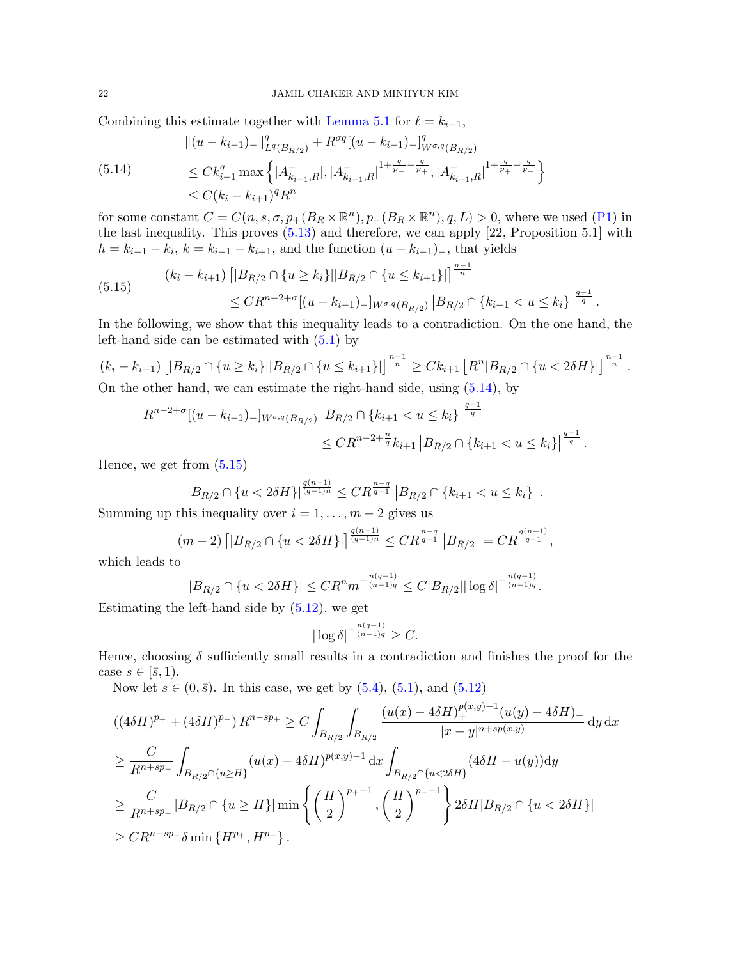Combining this estimate together with [Lemma 5.1](#page-16-3) for  $\ell = k_{i-1}$ ,

<span id="page-21-0"></span>
$$
\begin{aligned} \|(u - k_{i-1})_{-}\|_{L^q(B_{R/2})}^q + R^{\sigma q} [(u - k_{i-1})_{-}]^q_{W^{\sigma,q}(B_{R/2})} \\ &\leq C k_{i-1}^q \max \left\{ |A_{k_{i-1},R}^{-}|, |A_{k_{i-1},R}^{-}|^{1 + \frac{q}{p_{-}} - \frac{q}{p_{+}}}, |A_{k_{i-1},R}^{-}|^{1 + \frac{q}{p_{+}} - \frac{q}{p_{-}}} \right\} \\ &\leq C (k_i - k_{i+1})^q R^n \end{aligned}
$$

for some constant  $C = C(n, s, \sigma, p_+(B_R \times \mathbb{R}^n), p_-(B_R \times \mathbb{R}^n), q, L) > 0$ , where we used [\(P1\)](#page-1-2) in the last inequality. This proves [\(5.13\)](#page-20-1) and therefore, we can apply [\[22,](#page-26-9) Proposition 5.1] with  $h = k_{i-1} - k_i$ ,  $k = k_{i-1} - k_{i+1}$ , and the function  $(u - k_{i-1})$ , that yields

<span id="page-21-1"></span>
$$
(5.15) \qquad (k_i - k_{i+1}) \left[ |B_{R/2} \cap \{u \ge k_i\}| |B_{R/2} \cap \{u \le k_{i+1}\}| \right]^{\frac{n-1}{n}} \le CR^{n-2+\sigma} [(u - k_{i-1}) - ]_{W^{\sigma,q}(B_{R/2})} |B_{R/2} \cap \{k_{i+1} < u \le k_i\}|^{\frac{q-1}{q}}.
$$

In the following, we show that this inequality leads to a contradiction. On the one hand, the left-hand side can be estimated with  $(5.1)$  by

$$
(k_i - k_{i+1}) \left[ |B_{R/2} \cap \{u \ge k_i\}| |B_{R/2} \cap \{u \le k_{i+1}\}| \right]^{\frac{n-1}{n}} \ge C k_{i+1} \left[ R^n |B_{R/2} \cap \{u < 2\delta H\}| \right]^{\frac{n-1}{n}}.
$$

On the other hand, we can estimate the right-hand side, using  $(5.14)$ , by

$$
R^{n-2+\sigma}[(u-k_{i-1})-]_{W^{\sigma,q}(B_{R/2})} |B_{R/2} \cap \{k_{i+1} < u \le k_i\}|^{\frac{q-1}{q}} \le CR^{n-2+\frac{n}{q}}k_{i+1} |B_{R/2} \cap \{k_{i+1} < u \le k_i\}|^{\frac{q-1}{q}}.
$$

Hence, we get from [\(5.15\)](#page-21-1)

$$
|B_{R/2} \cap \{u < 2\delta H\}|^{\frac{q(n-1)}{(q-1)n}} \leq C R^{\frac{n-q}{q-1}} |B_{R/2} \cap \{k_{i+1} < u \leq k_i\}|.
$$

Summing up this inequality over  $i = 1, \ldots, m - 2$  gives us

$$
(m-2)\left[|B_{R/2}\cap\{u<2\delta H\}|\right]^{\frac{q(n-1)}{(q-1)n}}\leq CR^{\frac{n-q}{q-1}}\left|B_{R/2}\right|=CR^{\frac{q(n-1)}{q-1}},
$$

which leads to

$$
|B_{R/2} \cap \{u < 2\delta H\}| \leq C R^n m^{-\frac{n(q-1)}{(n-1)q}} \leq C |B_{R/2}| |\log \delta|^{-\frac{n(q-1)}{(n-1)q}}.
$$

Estimating the left-hand side by  $(5.12)$ , we get

$$
|\log \delta|^{-\frac{n(q-1)}{(n-1)q}} \geq C.
$$

Hence, choosing  $\delta$  sufficiently small results in a contradiction and finishes the proof for the case  $s \in [\bar{s}, 1)$ .

Now let  $s \in (0, \bar{s})$ . In this case, we get by  $(5.4)$ ,  $(5.1)$ , and  $(5.12)$ 

$$
((4\delta H)^{p_{+}} + (4\delta H)^{p_{-}}) R^{n-sp_{+}} \geq C \int_{B_{R/2}} \int_{B_{R/2}} \frac{(u(x) - 4\delta H)^{p(x,y)-1}_{+}(u(y) - 4\delta H)_{-}}{|x - y|^{n+sp(x,y)}} \, dy \, dx
$$
  
\n
$$
\geq \frac{C}{R^{n+sp_{-}}} \int_{B_{R/2} \cap \{u \geq H\}} (u(x) - 4\delta H)^{p(x,y)-1} \, dx \int_{B_{R/2} \cap \{u < 2\delta H\}} (4\delta H - u(y)) \, dy
$$
  
\n
$$
\geq \frac{C}{R^{n+sp_{-}}} |B_{R/2} \cap \{u \geq H\}| \min \left\{ \left(\frac{H}{2}\right)^{p_{+}-1}, \left(\frac{H}{2}\right)^{p_{-}-1} \right\} 2\delta H |B_{R/2} \cap \{u < 2\delta H\}|
$$
  
\n
$$
\geq CR^{n-sp_{-}} \delta \min \{H^{p_{+}}, H^{p_{-}}\}.
$$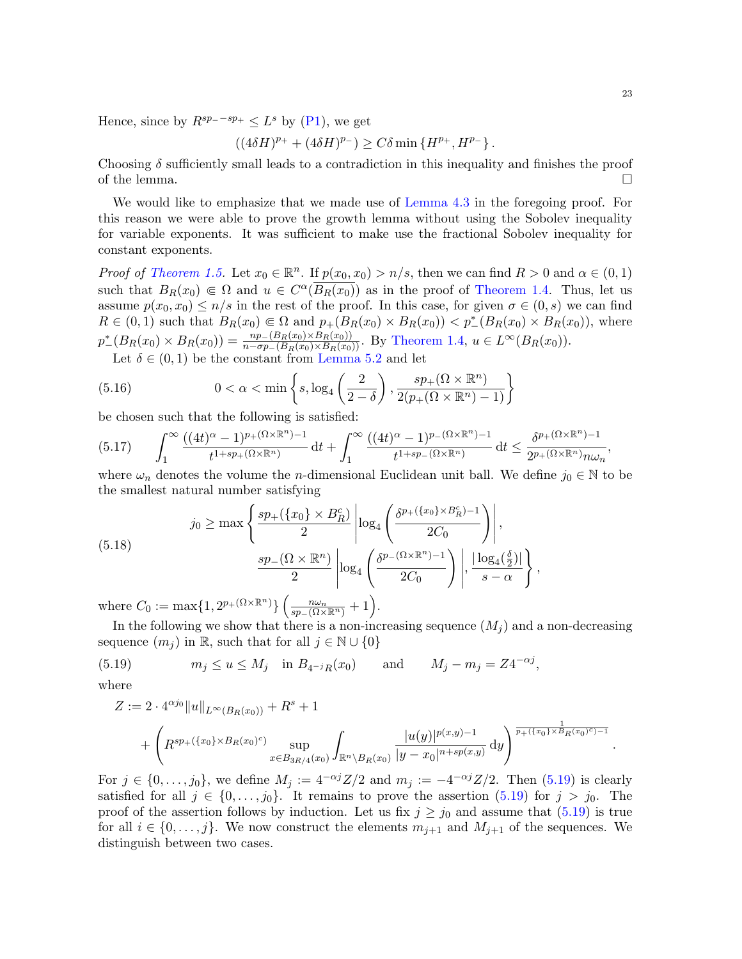Hence, since by  $R^{sp-{}-sp+} \leq L^s$  by [\(P1\)](#page-1-2), we get

$$
((4\delta H)^{p_+} + (4\delta H)^{p_-}) \ge C\delta \min\{H^{p_+}, H^{p_-}\}.
$$

Choosing  $\delta$  sufficiently small leads to a contradiction in this inequality and finishes the proof of the lemma.  $\Box$ 

We would like to emphasize that we made use of [Lemma 4.3](#page-11-1) in the foregoing proof. For this reason we were able to prove the growth lemma without using the Sobolev inequality for variable exponents. It was sufficient to make use the fractional Sobolev inequality for constant exponents.

*Proof of [Theorem 1.5.](#page-4-1)* Let  $x_0 \in \mathbb{R}^n$ . If  $p(x_0, x_0) > n/s$ , then we can find  $R > 0$  and  $\alpha \in (0, 1)$ such that  $B_R(x_0) \in \Omega$  and  $u \in C^{\alpha}(\overline{B_R(x_0)})$  as in the proof of [Theorem 1.4.](#page-3-0) Thus, let us assume  $p(x_0, x_0) \leq n/s$  in the rest of the proof. In this case, for given  $\sigma \in (0, s)$  we can find  $R \in (0,1)$  such that  $B_R(x_0) \in \Omega$  and  $p_+(B_R(x_0) \times B_R(x_0)) < p^*(B_R(x_0) \times B_R(x_0))$ , where  $p_{-}^{*}(B_{R}(x_{0}) \times B_{R}(x_{0})) = \frac{np_{-}(B_{R}(x_{0}) \times B_{R}(x_{0}))}{n - \sigma p_{-}(B_{R}(x_{0}) \times B_{R}(x_{0}))}$ . By [Theorem 1.4,](#page-3-0)  $u \in L^{\infty}(B_{R}(x_{0}))$ .

<span id="page-22-3"></span>Let  $\delta \in (0,1)$  be the constant from [Lemma 5.2](#page-18-0) and let

(5.16) 
$$
0 < \alpha < \min\left\{s, \log_4\left(\frac{2}{2-\delta}\right), \frac{sp_+(\Omega \times \mathbb{R}^n)}{2(p_+(\Omega \times \mathbb{R}^n) - 1)}\right\}
$$

be chosen such that the following is satisfied:

<span id="page-22-2"></span>
$$
(5.17) \qquad \int_1^\infty \frac{((4t)^\alpha - 1)^{p_+(\Omega \times \mathbb{R}^n)-1}}{t^{1+sp_+(\Omega \times \mathbb{R}^n)}}\,\mathrm{d} t + \int_1^\infty \frac{((4t)^\alpha - 1)^{p_-(\Omega \times \mathbb{R}^n)-1}}{t^{1+sp_-(\Omega \times \mathbb{R}^n)}}\,\mathrm{d} t \leq \frac{\delta^{p_+(\Omega \times \mathbb{R}^n)-1}}{2^{p_+(\Omega \times \mathbb{R}^n)}n\omega_n},
$$

where  $\omega_n$  denotes the volume the *n*-dimensional Euclidean unit ball. We define  $j_0 \in \mathbb{N}$  to be the smallest natural number satisfying

<span id="page-22-1"></span>(5.18) 
$$
j_0 \geq \max \left\{ \frac{sp_+\left(\left\{x_0\right\} \times B_R^c\right)}{2} \left| \log_4 \left( \frac{\delta^{p_+\left(\left\{x_0\right\} \times B_R^c\right)} - 1}{2C_0} \right) \right|, \frac{sp_-\left(\Omega \times \mathbb{R}^n\right)}{2} \left| \log_4 \left( \frac{\delta^{p_-\left(\Omega \times \mathbb{R}^n\right)} - 1}{2C_0} \right) \right|, \frac{\left| \log_4 \left(\frac{\delta}{2}\right) \right|}{s - \alpha} \right\},
$$

where  $C_0 := \max\{1, 2^{p_+(\Omega \times \mathbb{R}^n)}\} \left(\frac{n\omega_n}{sp_-(\Omega \times \mathbb{R}^n)} + 1\right)$ .

In the following we show that there is a non-increasing sequence  $(M<sub>j</sub>)$  and a non-decreasing sequence  $(m_i)$  in R, such that for all  $j \in \mathbb{N} \cup \{0\}$ 

(5.19) 
$$
m_j \le u \le M_j
$$
 in  $B_{4^{-j}R}(x_0)$  and  $M_j - m_j = Z4^{-\alpha j}$ ,

where  $Z$ 

<span id="page-22-0"></span>
$$
:= 2 \cdot 4^{\alpha j_0} \|u\|_{L^{\infty}(B_R(x_0))} + R^s + 1
$$
  
+  $\left(R^{sp_+(\lbrace x_0 \rbrace \times B_R(x_0)^c)} \sup_{x \in B_{3R/4}(x_0)} \int_{\mathbb{R}^n \setminus B_R(x_0)} \frac{|u(y)|^{p(x,y)-1}}{|y-x_0|^{n+sp(x,y)}} dy\right)^{\frac{1}{p_+(\lbrace x_0 \rbrace \times B_R(x_0)^c)-1}}$ 

For  $j \in \{0, \ldots, j_0\}$ , we define  $M_j := 4^{-\alpha j} Z/2$  and  $m_j := -4^{-\alpha j} Z/2$ . Then  $(5.19)$  is clearly satisfied for all  $j \in \{0, \ldots, j_0\}$ . It remains to prove the assertion [\(5.19\)](#page-22-0) for  $j > j_0$ . The proof of the assertion follows by induction. Let us fix  $j \ge j_0$  and assume that [\(5.19\)](#page-22-0) is true for all  $i \in \{0, \ldots, j\}$ . We now construct the elements  $m_{j+1}$  and  $M_{j+1}$  of the sequences. We distinguish between two cases.

.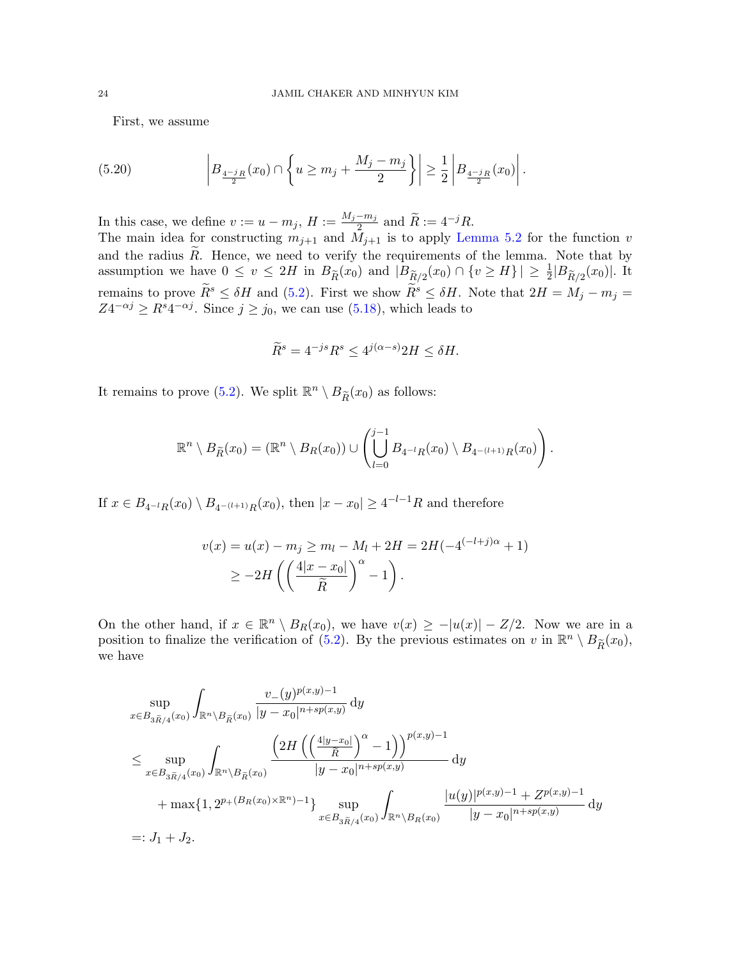<span id="page-23-0"></span>First, we assume

(5.20) 
$$
\left| B_{\frac{4^{-j}R}{2}}(x_0) \cap \left\{ u \geq m_j + \frac{M_j - m_j}{2} \right\} \right| \geq \frac{1}{2} \left| B_{\frac{4^{-j}R}{2}}(x_0) \right|.
$$

In this case, we define  $v := u - m_j$ ,  $H := \frac{M_j - m_j}{2}$  $\frac{-m_j}{2}$  and  $\widetilde{R} := 4^{-j}R$ .

The main idea for constructing  $m_{j+1}$  and  $M_{j+1}$  is to apply [Lemma 5.2](#page-18-0) for the function v and the radius  $\widetilde{R}$ . Hence, we need to verify the requirements of the lemma. Note that by assumption we have  $0 \le v \le 2H$  in  $B_{\widetilde{R}}(x_0)$  and  $|B_{\widetilde{R}/2}(x_0) \cap \{v \ge H\}| \ge \frac{1}{2}|B_{\widetilde{R}/2}(x_0)|$ . It remains to prove  $\widetilde{R}^s \leq \delta H$  and [\(5.2\)](#page-16-1). First we show  $\widetilde{R}^s \leq \delta H$ . Note that  $2H = M_j - m_j =$  $Z4^{-\alpha j} \ge R^s 4^{-\alpha j}$ . Since  $j \ge j_0$ , we can use [\(5.18\)](#page-22-1), which leads to

$$
\widetilde{R}^s = 4^{-js} R^s \le 4^{j(\alpha - s)} 2H \le \delta H.
$$

It remains to prove [\(5.2\)](#page-16-1). We split  $\mathbb{R}^n \setminus B_{\widetilde{R}}(x_0)$  as follows:

$$
\mathbb{R}^n \setminus B_{\widetilde{R}}(x_0) = (\mathbb{R}^n \setminus B_R(x_0)) \cup \left( \bigcup_{l=0}^{j-1} B_{4^{-l}R}(x_0) \setminus B_{4^{-(l+1)}R}(x_0) \right).
$$

If  $x \in B_{4^{-l}R}(x_0) \setminus B_{4^{-(l+1)}R}(x_0)$ , then  $|x - x_0| \ge 4^{-l-1}R$  and therefore

$$
v(x) = u(x) - m_j \ge m_l - M_l + 2H = 2H(-4^{(-l+j)\alpha} + 1)
$$
  
 
$$
\ge -2H\left(\left(\frac{4|x - x_0|}{\tilde{R}}\right)^{\alpha} - 1\right).
$$

On the other hand, if  $x \in \mathbb{R}^n \setminus B_R(x_0)$ , we have  $v(x) \ge -|u(x)| - Z/2$ . Now we are in a position to finalize the verification of [\(5.2\)](#page-16-1). By the previous estimates on v in  $\mathbb{R}^n \setminus B_{\widetilde{R}}(x_0)$ , we have

$$
\sup_{x \in B_{3\tilde{R}/4}(x_0)} \int_{\mathbb{R}^n \setminus B_{\tilde{R}}(x_0)} \frac{v_{-}(y)^{p(x,y)-1}}{|y-x_0|^{n+sp(x,y)}} \, dy
$$
\n
$$
\leq \sup_{x \in B_{3\tilde{R}/4}(x_0)} \int_{\mathbb{R}^n \setminus B_{\tilde{R}}(x_0)} \frac{\left(2H\left(\left(\frac{4|y-x_0|}{\tilde{R}}\right)^{\alpha}-1\right)\right)^{p(x,y)-1}}{|y-x_0|^{n+sp(x,y)}} \, dy
$$
\n
$$
+ \max\{1, 2^{p+(B_R(x_0)\times\mathbb{R}^n)-1}\} \sup_{x \in B_{3\tilde{R}/4}(x_0)} \int_{\mathbb{R}^n \setminus B_R(x_0)} \frac{|u(y)|^{p(x,y)-1} + Z^{p(x,y)-1}}{|y-x_0|^{n+sp(x,y)}} \, dy
$$
\n
$$
=: J_1 + J_2.
$$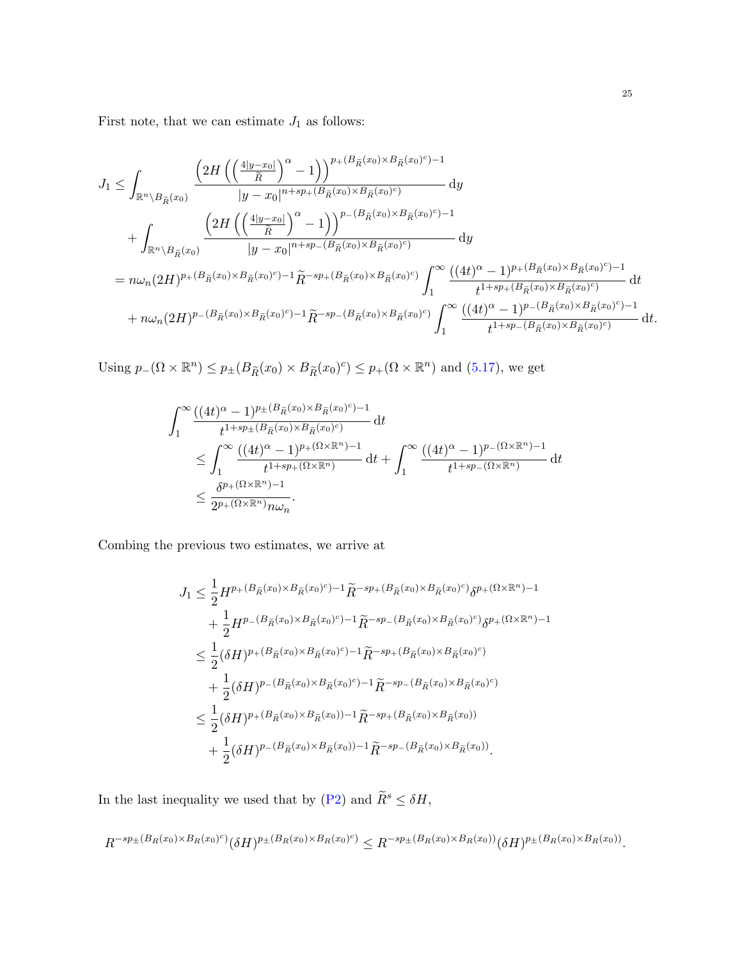First note, that we can estimate  ${\cal J}_1$  as follows:

$$
J_{1} \leq \int_{\mathbb{R}^{n} \setminus B_{\tilde{R}}(x_{0})} \frac{\left(2H\left(\left(\frac{4|y-x_{0}|}{\tilde{R}}\right)^{\alpha}-1\right)\right)^{p_{+}(B_{\tilde{R}}(x_{0}) \times B_{\tilde{R}}(x_{0})^{c})} \mathrm{d}y}{|y-x_{0}|^{n+sp_{+}(B_{\tilde{R}}(x_{0}) \times B_{\tilde{R}}(x_{0})^{c})}} \mathrm{d}y
$$
  
+ 
$$
\int_{\mathbb{R}^{n} \setminus B_{\tilde{R}}(x_{0})} \frac{\left(2H\left(\left(\frac{4|y-x_{0}|}{\tilde{R}}\right)^{\alpha}-1\right)\right)^{p_{-}(B_{\tilde{R}}(x_{0}) \times B_{\tilde{R}}(x_{0})^{c})-1}}{|y-x_{0}|^{n+sp_{-}(B_{\tilde{R}}(x_{0}) \times B_{\tilde{R}}(x_{0})^{c})}} \mathrm{d}y
$$
  
= 
$$
n\omega_{n}(2H)^{p_{+}(B_{\tilde{R}}(x_{0}) \times B_{\tilde{R}}(x_{0})^{c})-1} \tilde{R}^{-sp_{+}(B_{\tilde{R}}(x_{0}) \times B_{\tilde{R}}(x_{0})^{c})} \int_{1}^{\infty} \frac{((4t)^{\alpha}-1)^{p_{+}(B_{\tilde{R}}(x_{0}) \times B_{\tilde{R}}(x_{0})^{c})-1}{t^{1+sp_{+}(B_{\tilde{R}}(x_{0}) \times B_{\tilde{R}}(x_{0})^{c})}} \mathrm{d}t
$$
  
+ 
$$
n\omega_{n}(2H)^{p_{-}(B_{\tilde{R}}(x_{0}) \times B_{\tilde{R}}(x_{0})^{c})-1} \tilde{R}^{-sp_{-}(B_{\tilde{R}}(x_{0}) \times B_{\tilde{R}}(x_{0})^{c})} \int_{1}^{\infty} \frac{((4t)^{\alpha}-1)^{p_{-}(B_{\tilde{R}}(x_{0}) \times B_{\tilde{R}}(x_{0})^{c})-1}{t^{1+sp_{-}(B_{\tilde{R}}(x_{0}) \times B_{\tilde{R}}(x_{0})^{c})}} \mathrm{d}t.
$$

Using  $p_-(\Omega \times \mathbb{R}^n) \leq p_{\pm}(B_{\widetilde{R}}(x_0) \times B_{\widetilde{R}}(x_0)^c) \leq p_+(\Omega \times \mathbb{R}^n)$  and [\(5.17\)](#page-22-2), we get

$$
\int_{1}^{\infty} \frac{((4t)^{\alpha} - 1)^{p_{\pm}(B_{\tilde{R}}(x_0) \times B_{\tilde{R}}(x_0)^c) - 1}}{t^{1 + sp_{\pm}(B_{\tilde{R}}(x_0) \times B_{\tilde{R}}(x_0)^c)}} dt
$$
\n
$$
\leq \int_{1}^{\infty} \frac{((4t)^{\alpha} - 1)^{p_{+}(\Omega \times \mathbb{R}^{n}) - 1}}{t^{1 + sp_{+}(\Omega \times \mathbb{R}^{n})}} dt + \int_{1}^{\infty} \frac{((4t)^{\alpha} - 1)^{p_{-}(\Omega \times \mathbb{R}^{n}) - 1}}{t^{1 + sp_{-}(\Omega \times \mathbb{R}^{n})}} dt
$$
\n
$$
\leq \frac{\delta^{p_{+}(\Omega \times \mathbb{R}^{n}) - 1}}{2^{p_{+}(\Omega \times \mathbb{R}^{n})} n \omega_{n}}.
$$

Combing the previous two estimates, we arrive at

$$
J_{1} \leq \frac{1}{2} H^{p_{+}(B_{\tilde{R}}(x_{0}) \times B_{\tilde{R}}(x_{0})^{c})-1} \tilde{R}^{-sp_{+}(B_{\tilde{R}}(x_{0}) \times B_{\tilde{R}}(x_{0})^{c})} \delta^{p_{+}(\Omega \times \mathbb{R}^{n})-1}
$$
  
+ 
$$
\frac{1}{2} H^{p_{-}(B_{\tilde{R}}(x_{0}) \times B_{\tilde{R}}(x_{0})^{c})-1} \tilde{R}^{-sp_{-}(B_{\tilde{R}}(x_{0}) \times B_{\tilde{R}}(x_{0})^{c})} \delta^{p_{+}(\Omega \times \mathbb{R}^{n})-1}
$$
  

$$
\leq \frac{1}{2} (\delta H)^{p_{+}(B_{\tilde{R}}(x_{0}) \times B_{\tilde{R}}(x_{0})^{c})-1} \tilde{R}^{-sp_{+}(B_{\tilde{R}}(x_{0}) \times B_{\tilde{R}}(x_{0})^{c})}
$$
  
+ 
$$
\frac{1}{2} (\delta H)^{p_{-}(B_{\tilde{R}}(x_{0}) \times B_{\tilde{R}}(x_{0})^{c})-1} \tilde{R}^{-sp_{-}(B_{\tilde{R}}(x_{0}) \times B_{\tilde{R}}(x_{0})^{c})}
$$
  

$$
\leq \frac{1}{2} (\delta H)^{p_{+}(B_{\tilde{R}}(x_{0}) \times B_{\tilde{R}}(x_{0}))-1} \tilde{R}^{-sp_{+}(B_{\tilde{R}}(x_{0}) \times B_{\tilde{R}}(x_{0}))}
$$
  
+ 
$$
\frac{1}{2} (\delta H)^{p_{-}(B_{\tilde{R}}(x_{0}) \times B_{\tilde{R}}(x_{0}))-1} \tilde{R}^{-sp_{-}(B_{\tilde{R}}(x_{0}) \times B_{\tilde{R}}(x_{0}))}.
$$

In the last inequality we used that by [\(P2\)](#page-2-0) and  $\widetilde{R}^s \leq \delta H,$ 

$$
R^{-sp_{\pm}(B_R(x_0)\times B_R(x_0)^c)}(\delta H)^{p_{\pm}(B_R(x_0)\times B_R(x_0)^c)} \leq R^{-sp_{\pm}(B_R(x_0)\times B_R(x_0))}(\delta H)^{p_{\pm}(B_R(x_0)\times B_R(x_0))}.
$$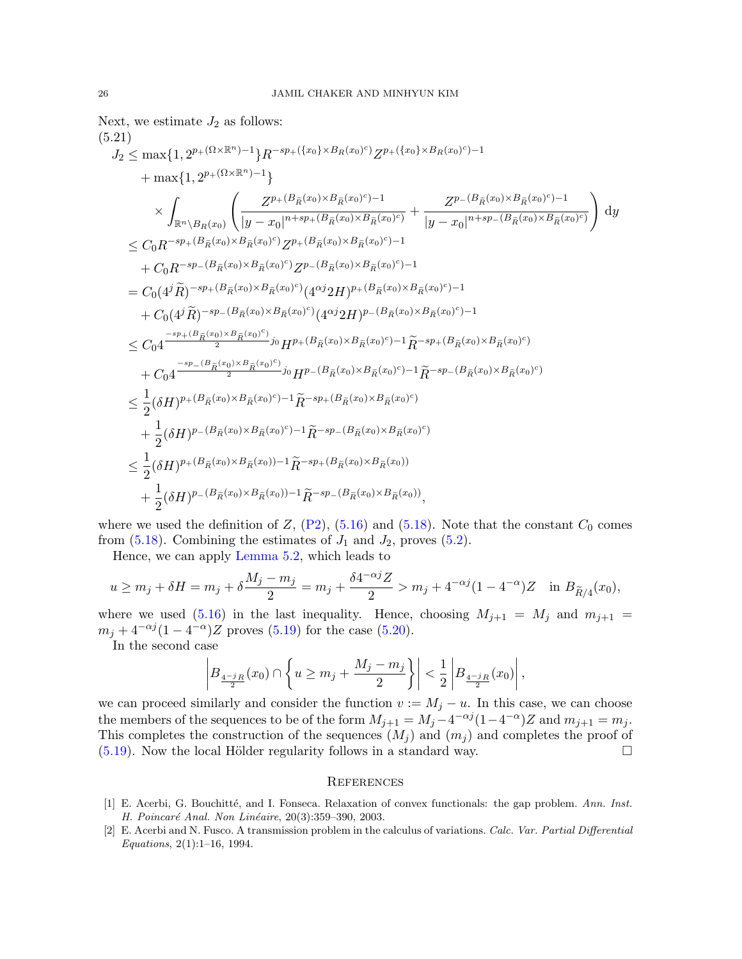Next, we estimate 
$$
J_2
$$
 as follows:  
\n(5.21)  
\n $J_2 \nleq \max\{1, 2^{p_+({\Omega}\times{\mathbb{R}}^n)-1}\}R^{-sp_+({{x_0}\times B_R(x_0)^c})}Z^{p_+({{x_0}\times B_R(x_0)^c})-1}$   
\n $+ \max\{1, 2^{p_+({\Omega}\times{\mathbb{R}}^n)-1}\}$   
\n $\times \int_{{\mathbb{R}}^n\setminus B_R(x_0)} \left( \frac{Z^{p_+({B_R(x_0)\times B_{\tilde{R}}(x_0)^c})-1}}{|y-x_0|^{n+sp_+({B_R(x_0)\times B_{\tilde{R}}(x_0)^c})} + \frac{Z^{p_-({B_R(x_0)\times B_{\tilde{R}}(x_0)^c})-1}}{|y-x_0|^{n+sp_-({B_R(x_0)\times B_{\tilde{R}}(x_0)^c})}} \right) dy$   
\n $\leq C_0R^{-sp_+({B_R(x_0)\times B_{\tilde{R}}(x_0)^c})}Z^{p_+({B_R(x_0)\times B_{\tilde{R}}(x_0)^c})-1}$   
\n $+ C_0R^{-sp_-({B_R(x_0)\times B_{\tilde{R}}(x_0)^c})}Z^{p_-({B_R(x_0)\times B_{\tilde{R}}(x_0)^c})-1}$   
\n $= C_0(4^j\tilde{R})^{-sp_+({B_R(x_0)\times B_{\tilde{R}}(x_0)^c})} (4^{\alpha j}2H)^{p_+({B_R(x_0)\times B_{\tilde{R}}(x_0)^c})-1}$   
\n $+ C_0(4^j\tilde{R})^{-sp_-({B_R(x_0)\times B_{\tilde{R}}(x_0)^c})} (4^{\alpha j}2H)^{p_-({B_R(x_0)\times B_{\tilde{R}}(x_0)^c})-1}$   
\n $\leq C_04^{-sp_+({B_R(x_0)\times B_{\tilde{R}}(x_0)^c})}p_+H_2(x_0)\times B_{\tilde{R}}(x_0)^c) -1\tilde{R}^{-sp_+({B_R(x_0)\times B_{\tilde{R}}(x_0)^c})}$   
\n $+ C_0\frac{-sp_-({B_R(x$ 

where we used the definition of  $Z$ ,  $(P2)$ ,  $(5.16)$  and  $(5.18)$ . Note that the constant  $C_0$  comes from  $(5.18)$ . Combining the estimates of  $J_1$  and  $J_2$ , proves  $(5.2)$ .

Hence, we can apply [Lemma 5.2,](#page-18-0) which leads to

$$
u \ge m_j + \delta H = m_j + \delta \frac{M_j - m_j}{2} = m_j + \frac{\delta 4^{-\alpha j} Z}{2} > m_j + 4^{-\alpha j} (1 - 4^{-\alpha}) Z \quad \text{in } B_{\widetilde{R}/4}(x_0),
$$

where we used [\(5.16\)](#page-22-3) in the last inequality. Hence, choosing  $M_{j+1} = M_j$  and  $m_{j+1} =$  $m_j + 4^{-\alpha j} (1 - 4^{-\alpha}) Z$  proves [\(5.19\)](#page-22-0) for the case [\(5.20\)](#page-23-0).

In the second case

$$
\left| B_{\frac{4-j_R}{2}}(x_0) \cap \left\{ u \ge m_j + \frac{M_j - m_j}{2} \right\} \right| < \frac{1}{2} \left| B_{\frac{4-j_R}{2}}(x_0) \right|,
$$

we can proceed similarly and consider the function  $v := M_j - u$ . In this case, we can choose the members of the sequences to be of the form  $M_{j+1} = M_j - 4^{-\alpha j} (1 - 4^{-\alpha}) Z$  and  $m_{j+1} = m_j$ . This completes the construction of the sequences  $(M<sub>i</sub>)$  and  $(m<sub>i</sub>)$  and completes the proof of  $(5.19)$ . Now the local Hölder regularity follows in a standard way.

### **REFERENCES**

- <span id="page-25-1"></span>[1] E. Acerbi, G. Bouchitté, and I. Fonseca. Relaxation of convex functionals: the gap problem. Ann. Inst. H. Poincaré Anal. Non Linéaire, 20(3):359–390, 2003.
- <span id="page-25-0"></span>[2] E. Acerbi and N. Fusco. A transmission problem in the calculus of variations. Calc. Var. Partial Differential Equations, 2(1):1–16, 1994.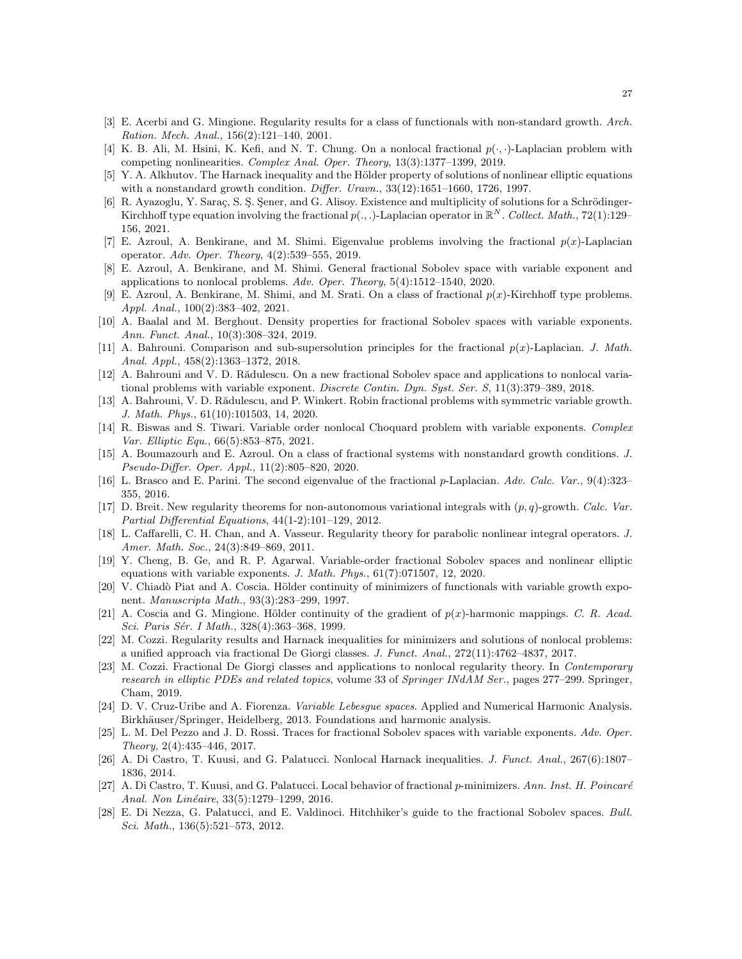- <span id="page-26-3"></span>[3] E. Acerbi and G. Mingione. Regularity results for a class of functionals with non-standard growth. Arch. Ration. Mech. Anal., 156(2):121–140, 2001.
- <span id="page-26-15"></span>[4] K. B. Ali, M. Hsini, K. Kefi, and N. T. Chung. On a nonlocal fractional  $p(\cdot, \cdot)$ -Laplacian problem with competing nonlinearities. Complex Anal. Oper. Theory, 13(3):1377–1399, 2019.
- <span id="page-26-0"></span>[5] Y. A. Alkhutov. The Harnack inequality and the Hölder property of solutions of nonlinear elliptic equations with a nonstandard growth condition. Differ. Uravn.,  $33(12):1651-1660$ , 1726, 1997.
- <span id="page-26-22"></span>[6] R. Ayazoglu, Y. Saraç, S. S. Sener, and G. Alisoy. Existence and multiplicity of solutions for a Schrödinger-Kirchhoff type equation involving the fractional  $p(.,.)$ -Laplacian operator in  $\mathbb{R}^N$ . Collect. Math., 72(1):129– 156, 2021.
- <span id="page-26-16"></span>[7] E. Azroul, A. Benkirane, and M. Shimi. Eigenvalue problems involving the fractional  $p(x)$ -Laplacian operator. Adv. Oper. Theory, 4(2):539–555, 2019.
- <span id="page-26-18"></span>[8] E. Azroul, A. Benkirane, and M. Shimi. General fractional Sobolev space with variable exponent and applications to nonlocal problems. Adv. Oper. Theory, 5(4):1512–1540, 2020.
- <span id="page-26-23"></span>[9] E. Azroul, A. Benkirane, M. Shimi, and M. Srati. On a class of fractional  $p(x)$ -Kirchhoff type problems. Appl. Anal., 100(2):383–402, 2021.
- <span id="page-26-17"></span>[10] A. Baalal and M. Berghout. Density properties for fractional Sobolev spaces with variable exponents. Ann. Funct. Anal., 10(3):308–324, 2019.
- <span id="page-26-13"></span>[11] A. Bahrouni. Comparison and sub-supersolution principles for the fractional  $p(x)$ -Laplacian. J. Math. Anal. Appl., 458(2):1363–1372, 2018.
- <span id="page-26-14"></span>[12] A. Bahrouni and V. D. Rădulescu. On a new fractional Sobolev space and applications to nonlocal variational problems with variable exponent. *Discrete Contin. Dyn. Syst. Ser. S*, 11(3):379–389, 2018.
- <span id="page-26-19"></span>[13] A. Bahrouni, V. D. Rădulescu, and P. Winkert. Robin fractional problems with symmetric variable growth. J. Math. Phys., 61(10):101503, 14, 2020.
- <span id="page-26-24"></span>[14] R. Biswas and S. Tiwari. Variable order nonlocal Choquard problem with variable exponents. Complex Var. Elliptic Equ., 66(5):853–875, 2021.
- <span id="page-26-20"></span>[15] A. Boumazourh and E. Azroul. On a class of fractional systems with nonstandard growth conditions. J. Pseudo-Differ. Oper. Appl., 11(2):805–820, 2020.
- <span id="page-26-8"></span>[16] L. Brasco and E. Parini. The second eigenvalue of the fractional p-Laplacian. Adv. Calc. Var., 9(4):323– 355, 2016.
- <span id="page-26-4"></span>[17] D. Breit. New regularity theorems for non-autonomous variational integrals with  $(p, q)$ -growth. Calc. Var. Partial Differential Equations, 44(1-2):101–129, 2012.
- <span id="page-26-5"></span>[18] L. Caffarelli, C. H. Chan, and A. Vasseur. Regularity theory for parabolic nonlinear integral operators. J. Amer. Math. Soc., 24(3):849–869, 2011.
- <span id="page-26-21"></span>[19] Y. Cheng, B. Ge, and R. P. Agarwal. Variable-order fractional Sobolev spaces and nonlinear elliptic equations with variable exponents. J. Math. Phys., 61(7):071507, 12, 2020.
- <span id="page-26-1"></span>[20] V. Chiadò Piat and A. Coscia. Hölder continuity of minimizers of functionals with variable growth exponent. Manuscripta Math., 93(3):283–299, 1997.
- <span id="page-26-2"></span>[21] A. Coscia and G. Mingione. Hölder continuity of the gradient of  $p(x)$ -harmonic mappings. C. R. Acad. Sci. Paris Sér. I Math., 328(4):363-368, 1999.
- <span id="page-26-9"></span>[22] M. Cozzi. Regularity results and Harnack inequalities for minimizers and solutions of nonlocal problems: a unified approach via fractional De Giorgi classes. J. Funct. Anal., 272(11):4762–4837, 2017.
- <span id="page-26-10"></span>[23] M. Cozzi. Fractional De Giorgi classes and applications to nonlocal regularity theory. In Contemporary research in elliptic PDEs and related topics, volume 33 of Springer INdAM Ser., pages 277–299. Springer, Cham, 2019.
- <span id="page-26-11"></span>[24] D. V. Cruz-Uribe and A. Fiorenza. *Variable Lebesgue spaces*. Applied and Numerical Harmonic Analysis. Birkhäuser/Springer, Heidelberg, 2013. Foundations and harmonic analysis.
- <span id="page-26-12"></span>[25] L. M. Del Pezzo and J. D. Rossi. Traces for fractional Sobolev spaces with variable exponents. Adv. Oper. Theory, 2(4):435–446, 2017.
- <span id="page-26-6"></span>[26] A. Di Castro, T. Kuusi, and G. Palatucci. Nonlocal Harnack inequalities. J. Funct. Anal., 267(6):1807– 1836, 2014.
- <span id="page-26-7"></span>[27] A. Di Castro, T. Kuusi, and G. Palatucci. Local behavior of fractional  $p$ -minimizers. Ann. Inst. H. Poincaré Anal. Non Linéaire, 33(5):1279–1299, 2016.
- <span id="page-26-25"></span>[28] E. Di Nezza, G. Palatucci, and E. Valdinoci. Hitchhiker's guide to the fractional Sobolev spaces. Bull. Sci. Math., 136(5):521–573, 2012.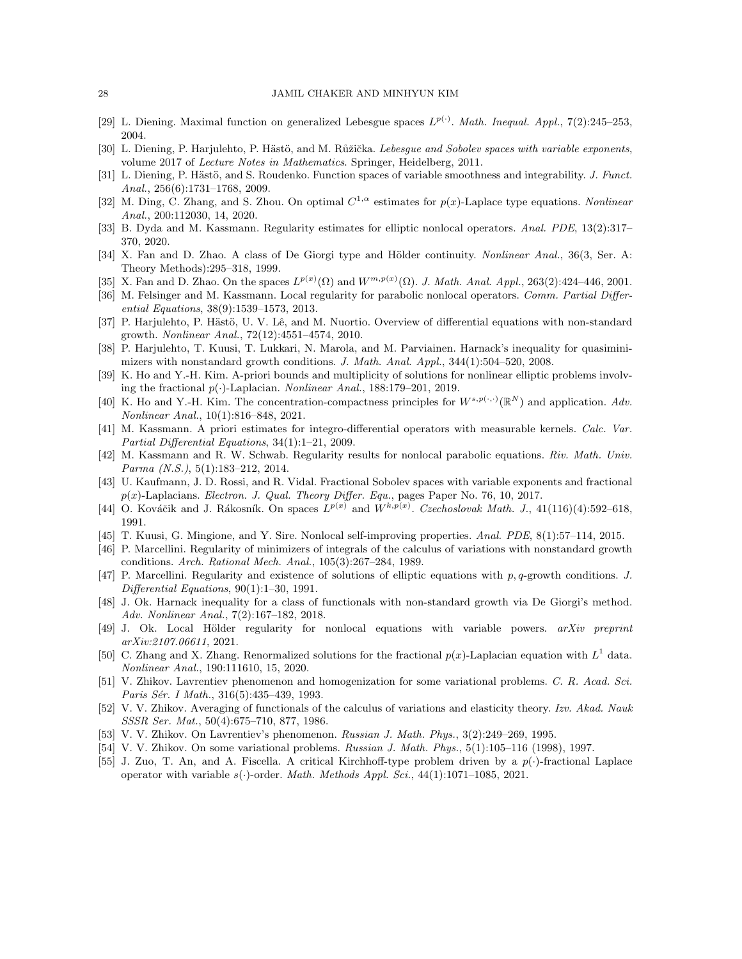- <span id="page-27-11"></span>[29] L. Diening. Maximal function on generalized Lebesgue spaces  $L^{p(\cdot)}$ . Math. Inequal. Appl., 7(2):245–253, 2004.
- <span id="page-27-21"></span>[30] L. Diening, P. Harjulehto, P. Hästö, and M. Růžička. Lebesque and Sobolev spaces with variable exponents, volume 2017 of Lecture Notes in Mathematics. Springer, Heidelberg, 2011.
- <span id="page-27-26"></span>[31] L. Diening, P. Hästö, and S. Roudenko. Function spaces of variable smoothness and integrability. J. Funct. Anal., 256(6):1731–1768, 2009.
- <span id="page-27-10"></span>[32] M. Ding, C. Zhang, and S. Zhou. On optimal  $C^{1,\alpha}$  estimates for  $p(x)$ -Laplace type equations. Nonlinear Anal., 200:112030, 14, 2020.
- <span id="page-27-15"></span>[33] B. Dyda and M. Kassmann. Regularity estimates for elliptic nonlocal operators. Anal. PDE, 13(2):317– 370, 2020.
- <span id="page-27-6"></span>[34] X. Fan and D. Zhao. A class of De Giorgi type and Hölder continuity. Nonlinear Anal., 36(3, Ser. A: Theory Methods):295–318, 1999.
- <span id="page-27-20"></span>[35] X. Fan and D. Zhao. On the spaces  $L^{p(x)}(\Omega)$  and  $W^{m,p(x)}(\Omega)$ . J. Math. Anal. Appl., 263(2):424–446, 2001.
- <span id="page-27-13"></span>[36] M. Felsinger and M. Kassmann. Local regularity for parabolic nonlocal operators. Comm. Partial Differential Equations, 38(9):1539–1573, 2013.
- <span id="page-27-8"></span>[37] P. Harjulehto, P. Hästö, U. V. Lê, and M. Nuortio. Overview of differential equations with non-standard growth. Nonlinear Anal., 72(12):4551–4574, 2010.
- <span id="page-27-7"></span>[38] P. Harjulehto, T. Kuusi, T. Lukkari, N. Marola, and M. Parviainen. Harnack's inequality for quasiminimizers with nonstandard growth conditions. J. Math. Anal. Appl., 344(1):504–520, 2008.
- <span id="page-27-17"></span>[39] K. Ho and Y.-H. Kim. A-priori bounds and multiplicity of solutions for nonlinear elliptic problems involving the fractional  $p(\cdot)$ -Laplacian. Nonlinear Anal., 188:179–201, 2019.
- <span id="page-27-24"></span>[40] K. Ho and Y.-H. Kim. The concentration-compactness principles for  $W^{s,p(\cdot,\cdot)}(\mathbb{R}^N)$  and application. Adv. Nonlinear Anal., 10(1):816–848, 2021.
- <span id="page-27-12"></span>[41] M. Kassmann. A priori estimates for integro-differential operators with measurable kernels. Calc. Var. Partial Differential Equations, 34(1):1–21, 2009.
- <span id="page-27-14"></span>[42] M. Kassmann and R. W. Schwab. Regularity results for nonlocal parabolic equations. Riv. Math. Univ. Parma (N.S.), 5(1):183–212, 2014.
- <span id="page-27-22"></span>[43] U. Kaufmann, J. D. Rossi, and R. Vidal. Fractional Sobolev spaces with variable exponents and fractional  $p(x)$ -Laplacians. Electron. J. Qual. Theory Differ. Equ., pages Paper No. 76, 10, 2017.
- <span id="page-27-19"></span>[44] O. Kováčik and J. Rákosník. On spaces  $L^{p(x)}$  and  $W^{k,p(x)}$ . Czechoslovak Math. J., 41(116)(4):592–618, 1991.
- <span id="page-27-16"></span>[45] T. Kuusi, G. Mingione, and Y. Sire. Nonlocal self-improving properties. Anal. PDE, 8(1):57–114, 2015.
- <span id="page-27-2"></span>[46] P. Marcellini. Regularity of minimizers of integrals of the calculus of variations with nonstandard growth conditions. Arch. Rational Mech. Anal., 105(3):267–284, 1989.
- <span id="page-27-3"></span>[47] P. Marcellini. Regularity and existence of solutions of elliptic equations with  $p, q$ -growth conditions. J. Differential Equations, 90(1):1–30, 1991.
- <span id="page-27-9"></span>[48] J. Ok. Harnack inequality for a class of functionals with non-standard growth via De Giorgi's method. Adv. Nonlinear Anal., 7(2):167–182, 2018.
- <span id="page-27-18"></span>[49] J. Ok. Local Hölder regularity for nonlocal equations with variable powers.  $arXiv$  preprint arXiv:2107.06611, 2021.
- <span id="page-27-23"></span>[50] C. Zhang and X. Zhang. Renormalized solutions for the fractional  $p(x)$ -Laplacian equation with  $L<sup>1</sup>$  data. Nonlinear Anal., 190:111610, 15, 2020.
- <span id="page-27-1"></span>[51] V. Zhikov. Lavrentiev phenomenon and homogenization for some variational problems. C. R. Acad. Sci. Paris Sér. I Math., 316(5):435-439, 1993.
- <span id="page-27-0"></span>[52] V. V. Zhikov. Averaging of functionals of the calculus of variations and elasticity theory. Izv. Akad. Nauk SSSR Ser. Mat., 50(4):675–710, 877, 1986.
- <span id="page-27-4"></span>[53] V. V. Zhikov. On Lavrentiev's phenomenon. Russian J. Math. Phys., 3(2):249–269, 1995.
- <span id="page-27-5"></span>[54] V. V. Zhikov. On some variational problems. Russian J. Math. Phys., 5(1):105–116 (1998), 1997.
- <span id="page-27-25"></span>[55] J. Zuo, T. An, and A. Fiscella. A critical Kirchhoff-type problem driven by a  $p(\cdot)$ -fractional Laplace operator with variable  $s(\cdot)$ -order. *Math. Methods Appl. Sci.*, 44(1):1071–1085, 2021.